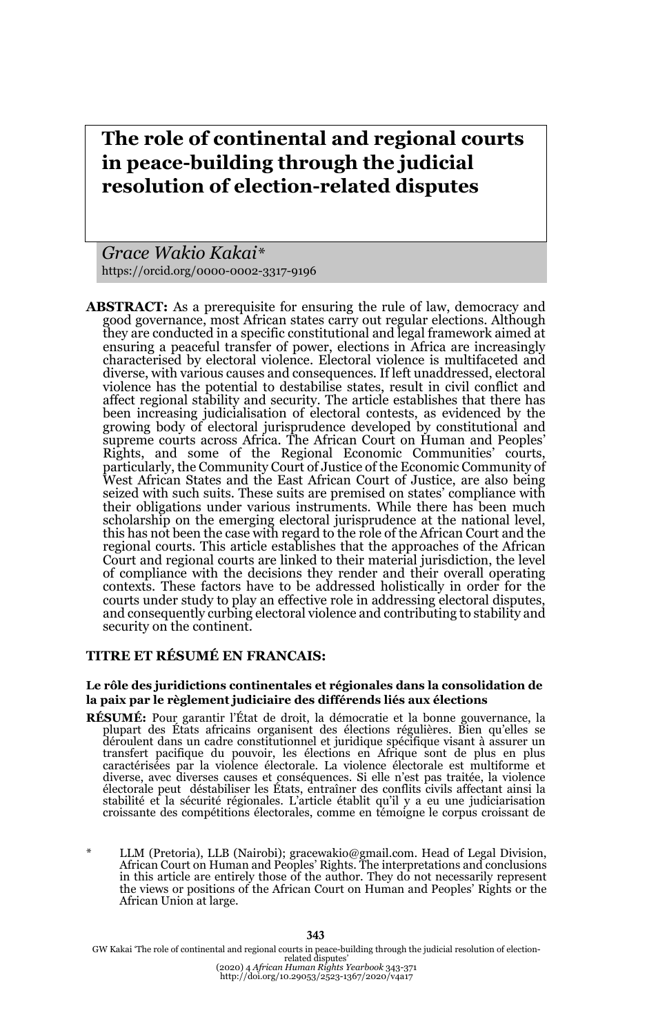# **The role of continental and regional courts in peace-building through the judicial resolution of election-related disputes**

*Grace Wakio Kakai\** https://orcid.org/0000-0002-3317-9196

**ABSTRACT:** As a prerequisite for ensuring the rule of law, democracy and good governance, most African states carry out regular elections. Although they are conducted in a specific constitutional and legal framework aimed at ensuring a peaceful transfer of power, elections in Africa are increasingly characterised by electoral violence. Electoral violence is multifaceted and diverse, with various causes and consequences. If left unaddressed, electoral violence has the potential to destabilise states, result in civil conflict and affect regional stability and security. The article establishes that there has been increasing judicialisation of electoral contests, as evidenced by the growing body of electoral jurisprudence developed by constitutional and supreme courts across Africa. The African Court on Human and Peoples' Rights, and some of the Regional Economic Communities' courts, particularly, the Community Court of Justice of the Economic Community of West African States and the East African Court of Justice, are also being seized with such suits. These suits are premised on states' compliance with their obligations under various instruments. While there has been much scholarship on the emerging electoral jurisprudence at the national level, this has not been the case with regard to the role of the African Court and the regional courts. This article establishes that the approaches of the African Court and regional courts are linked to their material jurisdiction, the level of compliance with the decisions they render and their overall operating contexts. These factors have to be addressed holistically in order for the courts under study to play an effective role in addressing electoral disputes, and consequently curbing electoral violence and contributing to stability and security on the continent.

#### **TITRE ET RÉSUMÉ EN FRANCAIS:**

#### **Le rôle des juridictions continentales et régionales dans la consolidation de la paix par le règlement judiciaire des différends liés aux élections**

- **RÉSUMÉ:** Pour garantir l'État de droit, la démocratie et la bonne gouvernance, la plupart des États africains organisent des élections régulières. Bien qu'elles se déroulent dans un cadre constitutionnel et juridique spécifique visant à assurer un<br>transfert pacifique du pouvoir, les élections en Afrique sont de plus en plus<br>caractérisées par la violence électorale. La violence électo diverse, avec diverses causes et conséquences. Si elle n'est pas traitée, la violence électorale peut déstabiliser les États, entraîner des conflits civils affectant ainsi la stabilité et la sécurité régionales. L'article établit qu'il y a eu une judiciarisation croissante des compétitions électorales, comme en témoigne le corpus croissant de
- LLM (Pretoria), LLB (Nairobi); gracewakio@gmail.com. Head of Legal Division, African Court on Human and Peoples' Rights. The interpretations and conclusions in this article are entirely those of the author. They do not necessarily represent the views or positions of the African Court on Human and Peoples' Rights or the African Union at large.

GW Kakai 'The role of continental and regional courts in peace-building through the judicial resolution of election-<br>related disputes'<br>(2020) 4 African Human Rights Yearbook 343-371<br>http://doi.org/10.29053/2523-1367/2020/v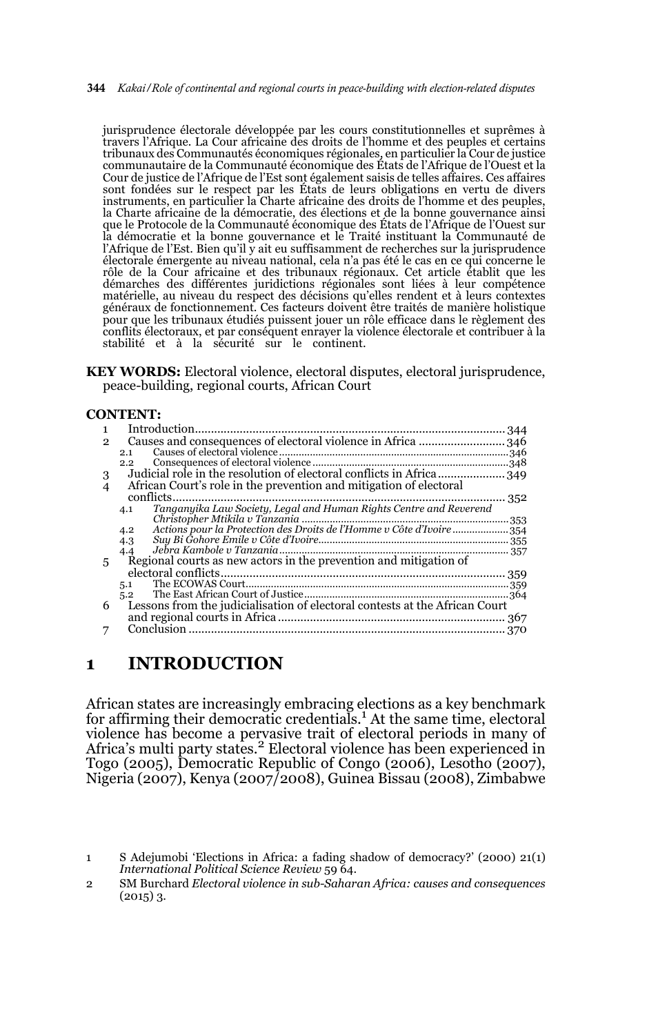344 *Kakai/Role of continental and regional courts in peace-building with election-related disputes*

jurisprudence électorale développée par les cours constitutionnelles et suprêmes à travers l'Afrique. La Cour africaine des droits de l'homme et des peuples et certains tribunaux des Communautés économiques régionales, en particulier la Cour de justice communautaire de la Communauté économique des États de l'Afrique de l'Ouest et la Cour de justice de l'Afrique de l'Est sont également saisis de telles affaires. Ces affaires sont fondées sur le respect par les États de leurs obligations en vertu de divers instruments, en particulier la Charte africaine des droits de l'homme et des peuples, la Charte africaine de la démocratie, des élections et de la bonne gouvernance ainsi que le Protocole de la Communauté économique des États de l'Afrique de l'Ouest sur la démocratie et la bonne gouvernance et le Traité instituant la Communauté de l'Afrique de l'Est. Bien qu'il y ait eu suffisamment de recherches sur la jurisprudence électorale émergente au niveau national, cela n'a pas été le cas en ce qui concerne le rôle de la Cour africaine et des tribunaux régionaux. Cet article établit que les démarches des différentes juridictions régionales sont liées à leur compétence matérielle, au niveau du respect des décisions qu'elles rendent et à leurs contextes généraux de fonctionnement. Ces facteurs doivent être traités de manière holistique pour que les tribunaux étudiés puissent jouer un rôle efficace dans le règlement des conflits électoraux, et par conséquent enrayer la violence électorale et contribuer à la stabilité et à la sécurité sur le continent.

**KEY WORDS:** Electoral violence, electoral disputes, electoral jurisprudence, peace-building, regional courts, African Court

#### **CONTENT:**

| 1              | Introduction                                                                |  |
|----------------|-----------------------------------------------------------------------------|--|
| $\mathbf{2}$   | Causes and consequences of electoral violence in Africa  346                |  |
|                | 2.1                                                                         |  |
|                | 2.2                                                                         |  |
| 3              |                                                                             |  |
| $\overline{4}$ | African Court's role in the prevention and mitigation of electoral          |  |
|                | conflicts<br>352                                                            |  |
|                | 4.1                                                                         |  |
|                |                                                                             |  |
|                | Actions pour la Protection des Droits de l'Homme v Côte d'Ivoire<br>4.2     |  |
|                | 4.3                                                                         |  |
|                | 4.4                                                                         |  |
| 5              | Regional courts as new actors in the prevention and mitigation of           |  |
|                |                                                                             |  |
|                | 5.1                                                                         |  |
|                | 5.2                                                                         |  |
| 6              | Lessons from the judicialisation of electoral contests at the African Court |  |
|                |                                                                             |  |
|                |                                                                             |  |

## **1 INTRODUCTION**

African states are increasingly embracing elections as a key benchmark<br>for affirming their democratic credentials.<sup>1</sup> At the same time, electoral violence has become a pervasive trait of electoral periods in many of Africa's multi party states.<sup>2</sup> Electoral violence has been experienced in Togo (2005), Democratic Republic of Congo (2006), Lesotho (2007), Nigeria (2007), Kenya (2007/2008), Guinea Bissau (2008), Zimbabwe

2 SM Burchard *Electoral violence in sub-Saharan Africa: causes and consequences*  $(2015)$  3.

<sup>1</sup> S Adejumobi 'Elections in Africa: a fading shadow of democracy?' (2000) 21(1) *International Political Science Review* 59 64.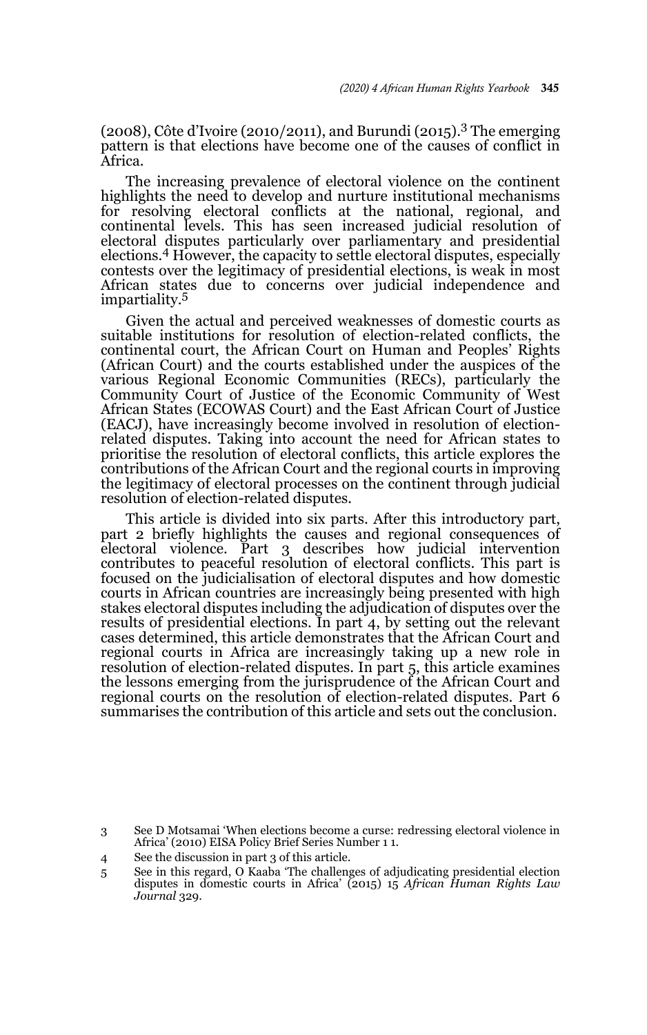(2008), Côte d'Ivoire (2010/2011), and Burundi (2015).<sup>3</sup> The emerging pattern is that elections have become one of the causes of conflict in Africa.

The increasing prevalence of electoral violence on the continent highlights the need to develop and nurture institutional mechanisms for resolving electoral conflicts at the national, regional, and continental levels. This has seen increased judicial resolution of electoral disputes particularly over parliamentary and presidential elections.4 However, the capacity to settle electoral disputes, especially contests over the legitimacy of presidential elections, is weak in most African states due to concerns over judicial independence and impartiality.<sup>5</sup>

Given the actual and perceived weaknesses of domestic courts as suitable institutions for resolution of election-related conflicts, the continental court, the African Court on Human and Peoples' Rights (African Court) and the courts established under the auspices of the various Regional Economic Communities (RECs), particularly the Community Court of Justice of the Economic Community of West African States (ECOWAS Court) and the East African Court of Justice (EACJ), have increasingly become involved in resolution of electionrelated disputes. Taking into account the need for African states to prioritise the resolution of electoral conflicts, this article explores the contributions of the African Court and the regional courts in improving the legitimacy of electoral processes on the continent through judicial resolution of election-related disputes.

This article is divided into six parts. After this introductory part, part 2 briefly highlights the causes and regional consequences of electoral violence. Part 3 describes how judicial intervention contributes to peaceful resolution of electoral conflicts. This part is focused on the judicialisation of electoral disputes and how domestic courts in African countries are increasingly being presented with high stakes electoral disputes including the adjudication of disputes over the results of presidential elections. In part 4, by setting out the relevant cases determined, this article demonstrates that the African Court and regional courts in Africa are increasingly taking up a new role in resolution of election-related disputes. In part 5, this article examines the lessons emerging from the jurisprudence of the African Court and regional courts on the resolution of election-related disputes. Part 6 summarises the contribution of this article and sets out the conclusion.

<sup>3</sup> See D Motsamai 'When elections become a curse: redressing electoral violence in Africa' (2010) EISA Policy Brief Series Number 1 1.

<sup>4</sup> See the discussion in part 3 of this article.

<sup>5</sup> See in this regard, O Kaaba 'The challenges of adjudicating presidential election disputes in domestic courts in Africa' (2015) 15 *African Human Rights Law Journal* 329.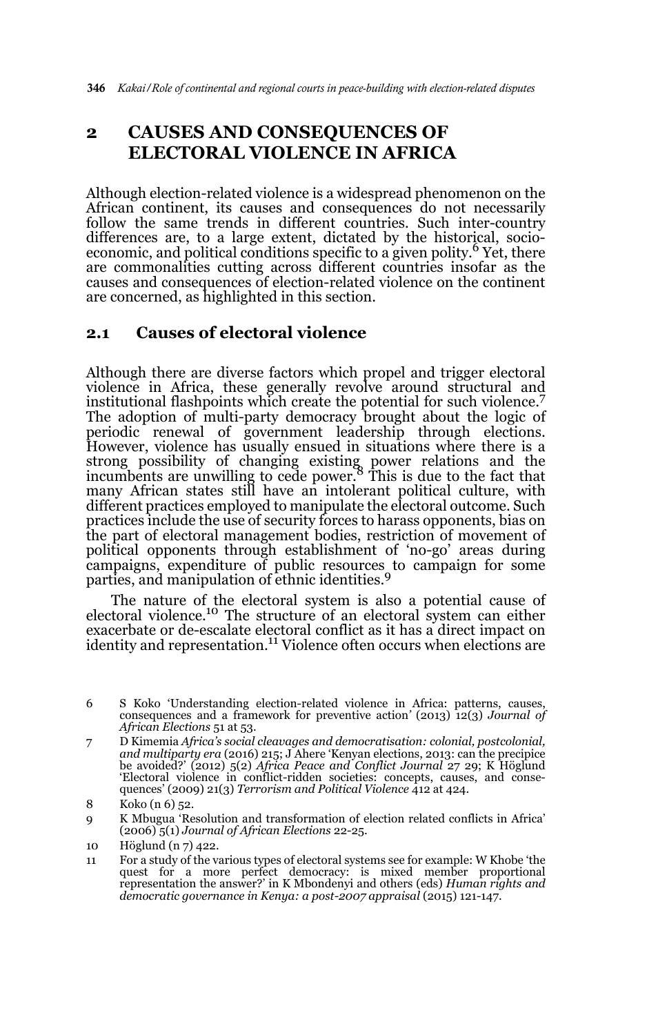## **2 CAUSES AND CONSEQUENCES OF ELECTORAL VIOLENCE IN AFRICA**

Although election-related violence is a widespread phenomenon on the African continent, its causes and consequences do not necessarily follow the same trends in different countries. Such inter-country differences are, to a large extent, dictated by the historical, socioeconomic, and political conditions specific to a given polity.<sup>6</sup> Yet, there are commonalities cutting across different countries insofar as the causes and consequences of election-related violence on the continent are concerned, as highlighted in this section.

### **2.1 Causes of electoral violence**

Although there are diverse factors which propel and trigger electoral violence in Africa, these generally revolve around structural and institutional flashpoints which create the potential for such violence.<sup>7</sup> The adoption of multi-party democracy brought about the logic of periodic renewal of government leadership through elections. However, violence has usually ensued in situations where there is a strong possibility of changing existing power relations and the incumbents are unwilling to cede power.8 This is due to the fact that many African states still have an intolerant political culture, with different practices employed to manipulate the electoral outcome. Such practices include the use of security forces to harass opponents, bias on the part of electoral management bodies, restriction of movement of political opponents through establishment of 'no-go' areas during campaigns, expenditure of public resources to campaign for some parties, and manipulation of ethnic identities.9

The nature of the electoral system is also a potential cause of electoral violence.10 The structure of an electoral system can either exacerbate or de-escalate electoral conflict as it has a direct impact on<br>identity and representation.<sup>11</sup> Violence often occurs when elections are

<sup>6</sup> S Koko 'Understanding election-related violence in Africa: patterns, causes, consequences and a framework for preventive action*'* (2013) 12(3) *Journal of African Elections* 51 at 53.

<sup>7</sup> D Kimemia *Africa's social cleavages and democratisation: colonial, postcolonial, and multiparty era* (2016) 215; J Ahere 'Kenyan elections, 2013: can the precipice be avoided?' (2012) 5(2) *Africa Peace and Conflict Journal* 27 29; K Höglund 'Electoral violence in conflict-ridden societies: concepts, causes, and consequences' (2009) 21(3) *Terrorism and Political Violence* 412 at 424.

<sup>8</sup> Koko (n 6) 52.

<sup>9</sup> K Mbugua 'Resolution and transformation of election related conflicts in Africa' (2006) 5(1) *Journal of African Elections* 22-25.

<sup>10</sup> Höglund (n 7) 422.

<sup>11</sup> For a study of the various types of electoral systems see for example: W Khobe 'the quest for a more perfect democracy: is mixed member proportional representation the answer?' in K Mbondenyi and others (eds) *Human rights and democratic governance in Kenya: a post-2007 appraisal* (2015) 121-147.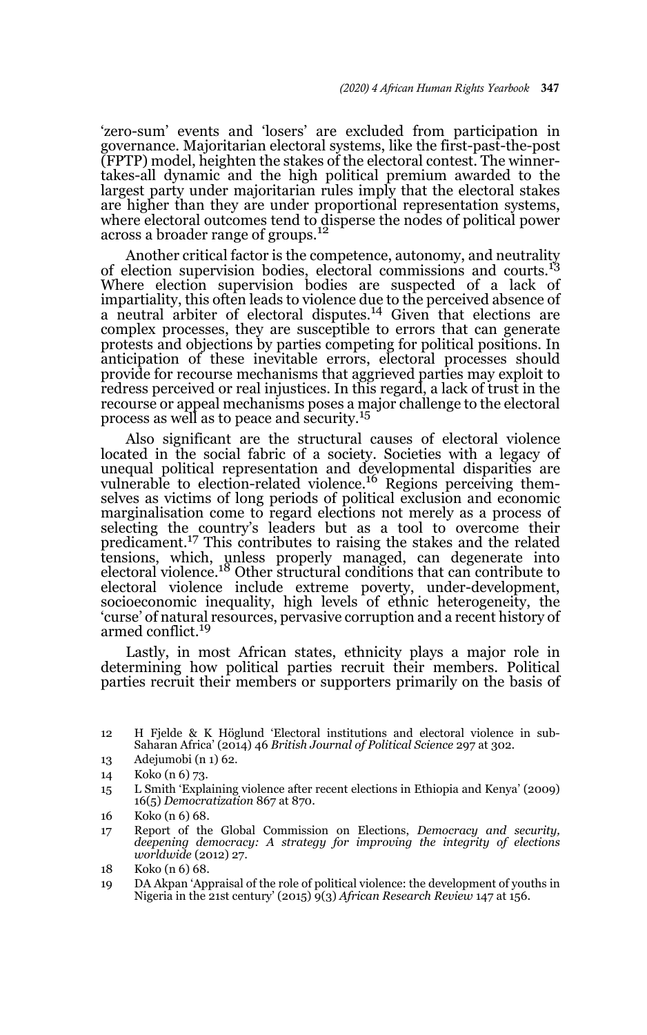'zero-sum' events and 'losers' are excluded from participation in governance. Majoritarian electoral systems, like the first-past-the-post (FPTP) model, heighten the stakes of the electoral contest. The winnertakes-all dynamic and the high political premium awarded to the largest party under majoritarian rules imply that the electoral stakes are higher than they are under proportional representation systems, where electoral outcomes tend to disperse the nodes of political power across a broader range of groups.<sup>12</sup>

Another critical factor is the competence, autonomy, and neutrality of election supervision bodies, electoral commissions and courts.<sup>13</sup> Where election supervision bodies are suspected of a lack of impartiality, this often leads to violence due to the perceived absence of a neutral arbiter of electoral disputes.<sup>14</sup> Given that elections are complex processes, they are susceptible to errors that can generate protests and objections by parties competing for political positions. In anticipation of these inevitable errors, electoral processes should provide for recourse mechanisms that aggrieved parties may exploit to redress perceived or real injustices. In this regard, a lack of trust in the recourse or appeal mechanisms poses a major challenge to the electoral process as well as to peace and security.<sup>15</sup>

Also significant are the structural causes of electoral violence located in the social fabric of a society. Societies with a legacy of unequal political representation and developmental disparities are vulnerable to election-related violence.16 Regions perceiving themselves as victims of long periods of political exclusion and economic marginalisation come to regard elections not merely as a process of selecting the country's leaders but as a tool to overcome their predicament.17 This contributes to raising the stakes and the related tensions, which, unless properly managed, can degenerate into<br>electoral violence.<sup>18</sup> Other structural conditions that can contribute to electoral violence include extreme poverty, under-development, socioeconomic inequality, high levels of ethnic heterogeneity, the 'curse' of natural resources, pervasive corruption and a recent history of armed conflict.<sup>19</sup>

Lastly, in most African states, ethnicity plays a major role in determining how political parties recruit their members. Political parties recruit their members or supporters primarily on the basis of

15 L Smith 'Explaining violence after recent elections in Ethiopia and Kenya' (2009) 16(5) *Democratization* 867 at 870.

17 Report of the Global Commission on Elections, *Democracy and security, deepening democracy: A strategy for improving the integrity of elections worldwide* (2012) 27.

<sup>12</sup> H Fjelde & K Höglund 'Electoral institutions and electoral violence in sub-Saharan Africa' (2014) 46 *British Journal of Political Science* 297 at 302.

<sup>13</sup> Adejumobi (n 1) 62.

<sup>14</sup> Koko (n 6) 73.

<sup>16</sup> Koko (n 6) 68.

<sup>18</sup> Koko (n 6) 68.

<sup>19</sup> DA Akpan 'Appraisal of the role of political violence: the development of youths in Nigeria in the 21st century' (2015) 9(3) *African Research Review* 147 at 156.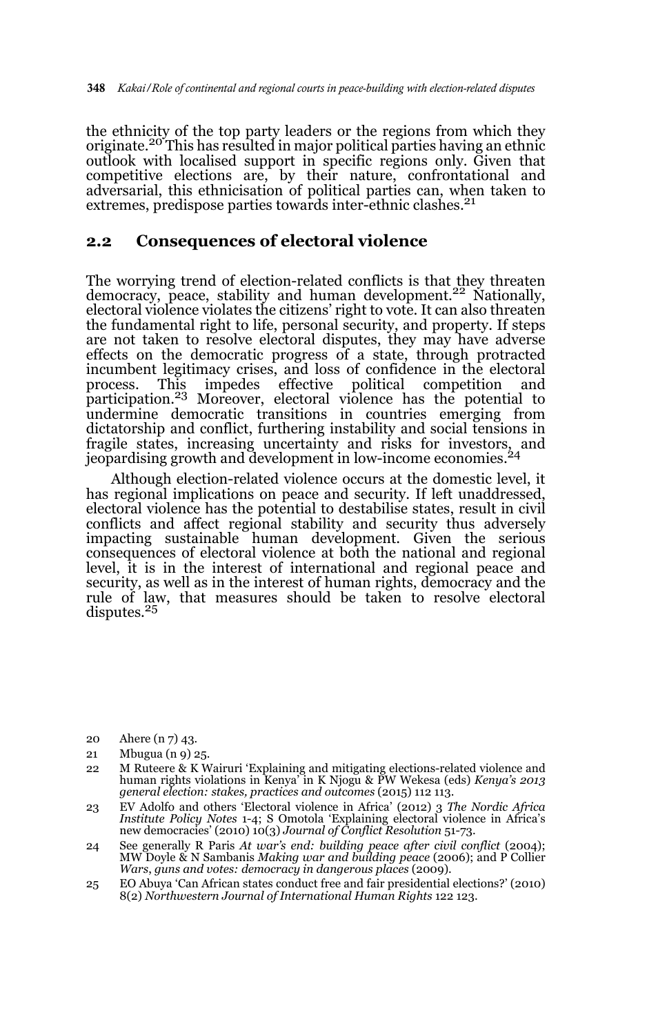the ethnicity of the top party leaders or the regions from which they originate.<sup>20</sup> This has resulted in major political parties having an ethnic outlook with localised support in specific regions only. Given that competitive elections are, by their nature, confrontational and adversarial, this ethnicisation of political parties can, when taken to extremes, predispose parties towards inter-ethnic clashes.<sup>21</sup>

### **2.2 Consequences of electoral violence**

The worrying trend of election-related conflicts is that they threaten democracy, peace, stability and human development.<sup>22</sup> Nationally, electoral violence violates the citizens' right to vote. It can also threaten the fundamental right to life, personal security, and property. If steps are not taken to resolve electoral disputes, they may have adverse effects on the democratic progress of a state, through protracted incumbent legitimacy crises, and loss of confidence in the electoral process. This impedes effective political competition and participation.23 Moreover, electoral violence has the potential to undermine democratic transitions in countries emerging from dictatorship and conflict, furthering instability and social tensions in fragile states, increasing uncertainty and risks for investors, and jeopardising growth and development in low-income economies.<sup>24</sup>

Although election-related violence occurs at the domestic level, it has regional implications on peace and security. If left unaddressed, electoral violence has the potential to destabilise states, result in civil conflicts and affect regional stability and security thus adversely impacting sustainable human development. Given the serious consequences of electoral violence at both the national and regional level, it is in the interest of international and regional peace and security, as well as in the interest of human rights, democracy and the rule of law, that measures should be taken to resolve electoral disputes.<sup>25</sup>

- 20 Ahere (n 7) 43.
- 21 Mbugua (n 9) 25.
- 22 M Ruteere & K Wairuri 'Explaining and mitigating elections-related violence and human rights violations in Kenya' in K Njogu & PW Wekesa (eds) *Kenya's 2013 general election: stakes, practices and outcomes* (2015) 112 113.
- 23 EV Adolfo and others 'Electoral violence in Africa' (2012) 3 *The Nordic Africa Institute Policy Notes* 1-4; S Omotola 'Explaining electoral violence in Africa's new democracies' (2010) 10(3) *Journal of Conflict Resolution* 51-73.
- 24 See generally R Paris *At war's end: building peace after civil conflict* (2004); MW Doyle & N Sambanis *Making war and building peace* (2006); and P Collier *Wars*, *guns and votes: democracy in dangerous places* (2009).
- 25 EO Abuya 'Can African states conduct free and fair presidential elections?' (2010) 8(2) *Northwestern Journal of International Human Rights* 122 123.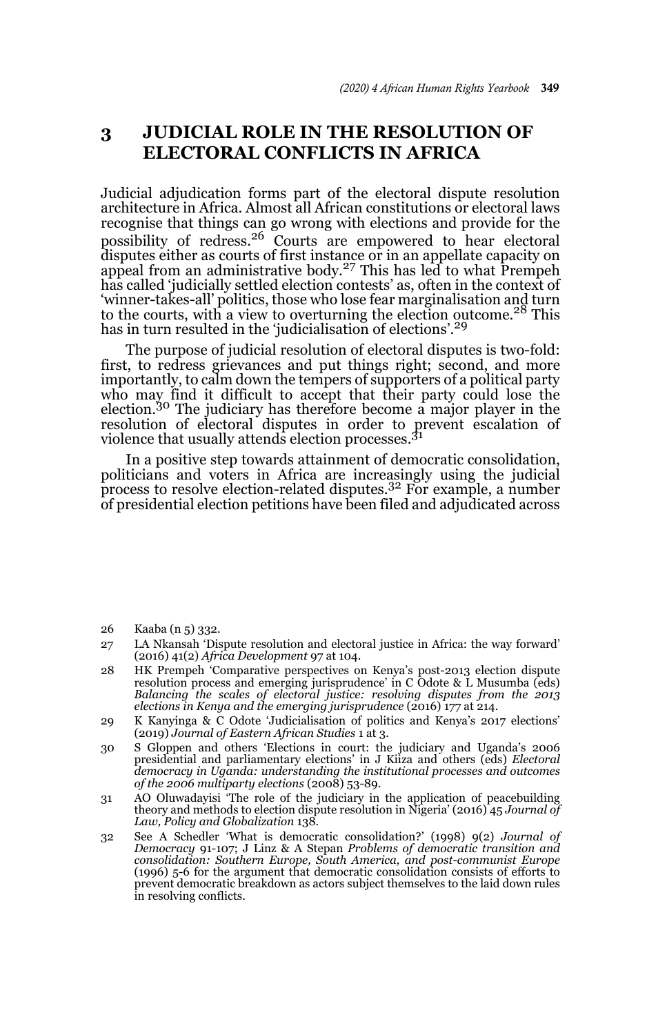## **3 JUDICIAL ROLE IN THE RESOLUTION OF ELECTORAL CONFLICTS IN AFRICA**

Judicial adjudication forms part of the electoral dispute resolution architecture in Africa. Almost all African constitutions or electoral laws recognise that things can go wrong with elections and provide for the possibility of redress.26 Courts are empowered to hear electoral disputes either as courts of first instance or in an appellate capacity on appeal from an administrative body.27 This has led to what Prempeh has called 'judicially settled election contests' as, often in the context of 'winner-takes-all' politics, those who lose fear marginalisation and turn to the courts, with a view to overturning the election outcome.<sup>28</sup> This has in turn resulted in the 'judicialisation of elections'.<sup>29</sup>

The purpose of judicial resolution of electoral disputes is two-fold: first, to redress grievances and put things right; second, and more importantly, to calm down the tempers of supporters of a political party who may find it difficult to accept that their party could lose the election.30 The judiciary has therefore become a major player in the resolution of electoral disputes in order to prevent escalation of violence that usually attends election processes.<sup>31</sup>

In a positive step towards attainment of democratic consolidation, politicians and voters in Africa are increasingly using the judicial process to resolve election-related disputes.32 For example, a number of presidential election petitions have been filed and adjudicated across

26 Kaaba (n 5) 332.

- 28 HK Prempeh 'Comparative perspectives on Kenya's post-2013 election dispute resolution process and emerging jurisprudence' in C Odote & L Musumba (eds) *Balancing the scales of electoral justice: resolving disputes from the 2013 elections in Kenya and the emerging jurisprudence* (2016) 177 at 214.
- 29 K Kanyinga & C Odote 'Judicialisation of politics and Kenya's 2017 elections' (2019) *Journal of Eastern African Studies* 1 at 3.
- 30 S Gloppen and others 'Elections in court: the judiciary and Uganda's 2006 presidential and parliamentary elections' in J Kiiza and others (eds) *Electoral democracy in Uganda: understanding the institutional processes and outcomes of the 2006 multiparty elections* (2008) 53-89.
- 31 AO Oluwadayisi 'The role of the judiciary in the application of peacebuilding theory and methods to election dispute resolution in Nigeria' (2016) 45 *Journal of Law, Policy and Globalization* 138.
- 32 See A Schedler 'What is democratic consolidation?' (1998) 9(2) *Journal of Democracy* 91-107; J Linz & A Stepan *Problems of democratic transition and consolidation: Southern Europe, South America, and post-communist Europe* (1996) 5-6 for the argument that democratic consolidation consists of efforts to prevent democratic breakdown as actors subject themselves to the laid down rules in resolving conflicts.

<sup>27</sup> LA Nkansah 'Dispute resolution and electoral justice in Africa: the way forward' (2016) 41(2) *Africa Development* 97 at 104.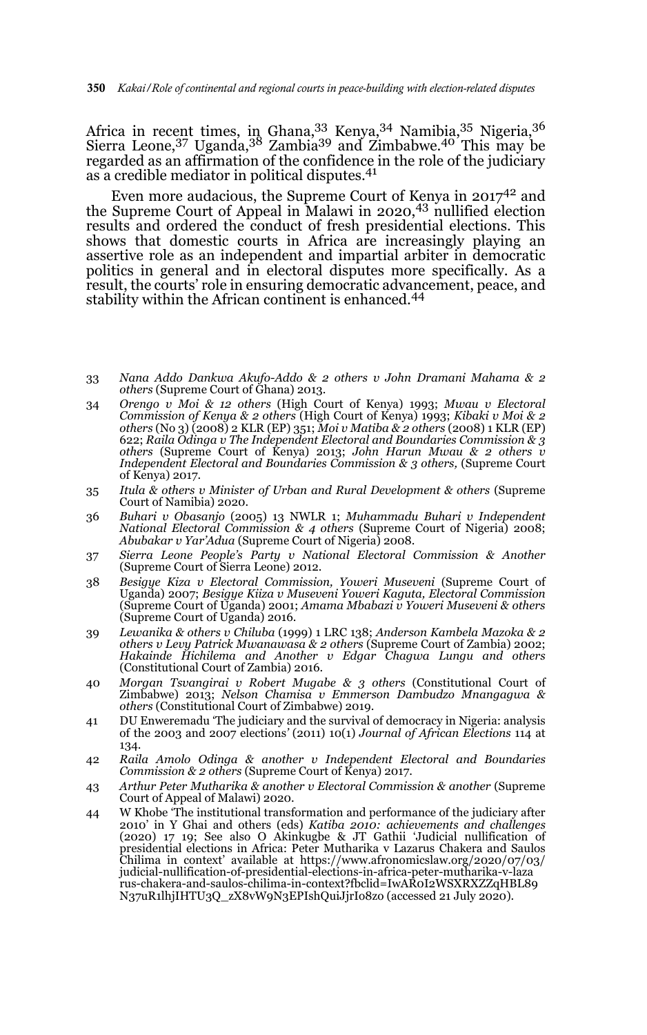Africa in recent times, in Ghana, 33 Kenya, 34 Namibia, 35 Nigeria, 36 Sierra Leone,  $37 \text{ Uganda}$ ,  $38 \text{ Zambia}$  Zambia $39 \text{ and } 2 \text{imbabwe}$ .  $40 \text{ This may be}$ regarded as an affirmation of the confidence in the role of the judiciary as a credible mediator in political disputes.41

Even more audacious, the Supreme Court of Kenya in  $2017^{42}$  and the Supreme Court of Appeal in Malawi in 2020,43 nullified election results and ordered the conduct of fresh presidential elections. This shows that domestic courts in Africa are increasingly playing an assertive role as an independent and impartial arbiter in democratic politics in general and in electoral disputes more specifically. As a result, the courts' role in ensuring democratic advancement, peace, and stability within the African continent is enhanced.<sup>44</sup>

- 33 *Nana Addo Dankwa Akufo-Addo & 2 others v John Dramani Mahama & 2 others* (Supreme Court of Ghana) 2013.
- 34 *Orengo v Moi & 12 others* (High Court of Kenya) 1993; *Mwau v Electoral Commission of Kenya & 2 others* (High Court of Kenya) 1993; *Kibaki v Moi & 2 others* (No 3) (2008) 2 KLR (EP) 351; *Moi v Matiba & 2 others* (2008) 1 KLR (EP) 622; *Raila Odinga v The Independent Electoral and Boundaries Commission & 3 others* (Supreme Court of Kenya) 2013; *John Harun Mwau & 2 others v Independent Electoral and Boundaries Commission & 3 others,* (Supreme Court of Kenya) 2017.
- 35 *Itula & others v Minister of Urban and Rural Development & others* (Supreme Court of Namibia) 2020.
- 36 *Buhari v Obasanjo* (2005) 13 NWLR 1; *Muhammadu Buhari v Independent National Electoral Commission & 4 others* (Supreme Court of Nigeria) 2008; *Abubakar v Yar'Adua* (Supreme Court of Nigeria) 2008.
- 37 *Sierra Leone People's Party v National Electoral Commission & Another* (Supreme Court of Sierra Leone) 2012.
- 38 *Besigye Kiza v Electoral Commission, Yoweri Museveni* (Supreme Court of Uganda) 2007; *Besigye Kiiza v Museveni Yoweri Kaguta, Electoral Commission* (Supreme Court of Uganda) 2001; *Amama Mbabazi v Yoweri Museveni & others* (Supreme Court of Uganda) 2016.
- 39 *Lewanika & others v Chiluba* (1999) 1 LRC 138; *Anderson Kambela Mazoka & 2 others v Levy Patrick Mwanawasa & 2 others* (Supreme Court of Zambia) 2002; *Hakainde Hichilema and Another v Edgar Chagwa Lungu and others* (Constitutional Court of Zambia) 2016.
- 40 *Morgan Tsvangirai v Robert Mugabe & 3 others* (Constitutional Court of Zimbabwe) 2013; *Nelson Chamisa v Emmerson Dambudzo Mnangagwa & others* (Constitutional Court of Zimbabwe) 2019.
- 41 DU Enweremadu 'The judiciary and the survival of democracy in Nigeria: analysis of the 2003 and 2007 elections*'* (2011) 10(1) *Journal of African Elections* 114 at 134.
- 42 *Raila Amolo Odinga & another v Independent Electoral and Boundaries Commission & 2 others* (Supreme Court of Kenya) 2017.
- 43 *Arthur Peter Mutharika & another v Electoral Commission & another* (Supreme Court of Appeal of Malawi) 2020.
- 44 W Khobe 'The institutional transformation and performance of the judiciary after 2010' in Y Ghai and others (eds) *Katiba 2010: achievements and challenges* (2020) 17 19; See also O Akinkugbe & JT Gathii 'Judicial nullification of presidential elections in Africa: Peter Mutharika v Lazarus Chakera and Saulos Chilima in context' available at https://www.afronomicslaw.org/2020/07/03/ judicial-nullification-of-presidential-elections-in-africa-peter-mutharika-v-laza rus-chakera-and-saulos-chilima-in-context?fbclid=IwAR0I2WSXRXZZqHBL89 N37uR1lhjIHTU3Q\_zX8vW9N3EPIshQuiJjrIo8zo (accessed 21 July 2020).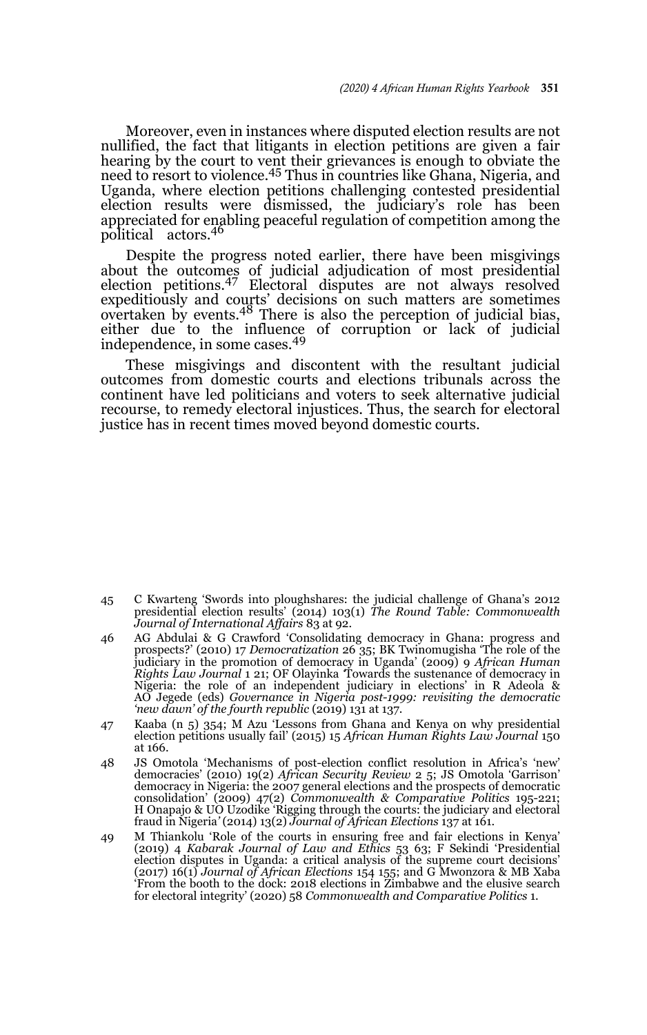Moreover, even in instances where disputed election results are not nullified, the fact that litigants in election petitions are given a fair hearing by the court to vent their grievances is enough to obviate the need to resort to violence.<sup>45</sup> Thus in countries like Ghana, Nigeria, and Uganda, where election petitions challenging contested presidential election results were dismissed, the judiciary's role has been appreciated for enabling peaceful regulation of competition among the political actors.46

Despite the progress noted earlier, there have been misgivings about the outcomes of judicial adjudication of most presidential election petitions.47 Electoral disputes are not always resolved expeditiously and courts' decisions on such matters are sometimes<br>overtaken by events.<sup>48</sup> There is also the perception of judicial bias, either due to the influence of corruption or lack of judicial independence, in some cases.<sup>49</sup>

These misgivings and discontent with the resultant judicial outcomes from domestic courts and elections tribunals across the continent have led politicians and voters to seek alternative judicial recourse, to remedy electoral injustices. Thus, the search for electoral justice has in recent times moved beyond domestic courts.

- 45 C Kwarteng 'Swords into ploughshares: the judicial challenge of Ghana's 2012 presidential election results' (2014) 103(1) *The Round Table: Commonwealth Journal of International Affairs* 83 at 92.
- 46 AG Abdulai & G Crawford 'Consolidating democracy in Ghana: progress and prospects?' (2010) 17 *Democratization* 26 35; BK Twinomugisha 'The role of the judiciary in the promotion of democracy in Uganda' (2009) 9 *African Human Rights Law Journal* 1 21; OF Olayinka *'*Towards the sustenance of democracy in Nigeria: the role of an independent judiciary in elections' in R Adeola & AO Jegede (eds) *Governance in Nigeria post-1999: revisiting the democratic 'new dawn' of the fourth republic* (2019) 131 at 137.
- 47 Kaaba (n 5) 354; M Azu 'Lessons from Ghana and Kenya on why presidential election petitions usually fail' (2015) 15 *African Human Rights Law Journal* 150 at 166.
- 48 JS Omotola 'Mechanisms of post-election conflict resolution in Africa's 'new' democracies' (2010) 19(2) *African Security Review* 2 5; JS Omotola 'Garrison' democracy in Nigeria: the 2007 general elections and the prospects of democratic consolidation' (2009) 47(2) *Commonwealth & Comparative Politics* 195-221; H Onapajo & UO Uzodike 'Rigging through the courts: the judiciary and electoral fraud in Nigeria*'* (2014) 13(2) *Journal of African Elections* 137 at 161.
- 49 M Thiankolu 'Role of the courts in ensuring free and fair elections in Kenya' (2019) 4 *Kabarak Journal of Law and Ethics* 53 63; F Sekindi 'Presidential election disputes in Uganda: a critical analysis of the supreme court decisions' (2017) 16(1) *Journal of African Elections* 154 155; and G Mwonzora & MB Xaba 'From the booth to the dock: 2018 elections in Zimbabwe and the elusive search for electoral integrity' (2020) 58 *Commonwealth and Comparative Politics* 1.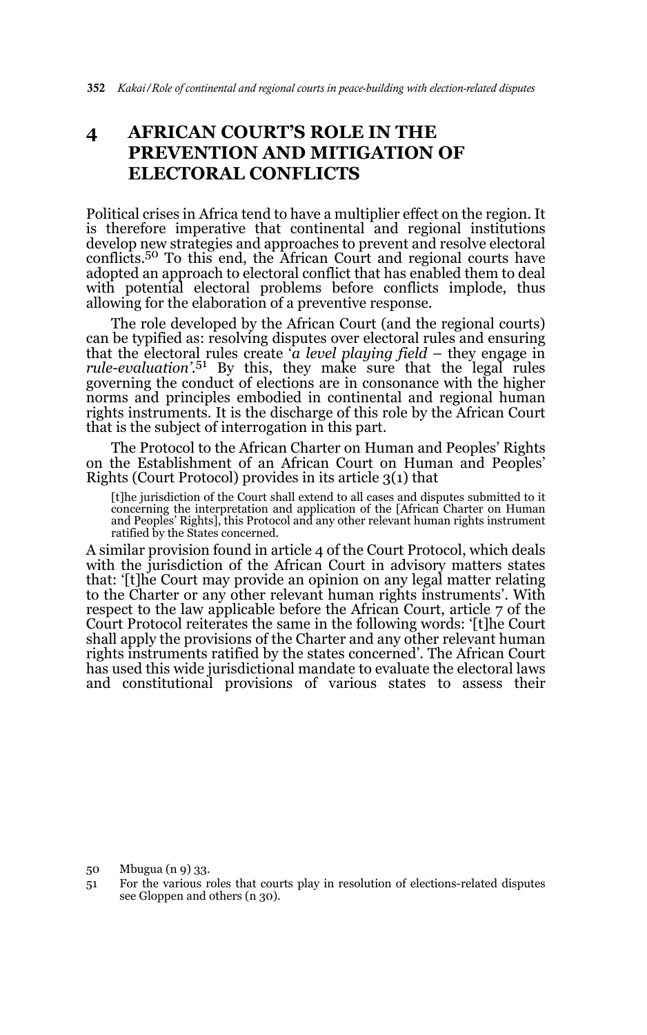# **4 AFRICAN COURT'S ROLE IN THE PREVENTION AND MITIGATION OF ELECTORAL CONFLICTS**

Political crises in Africa tend to have a multiplier effect on the region. It is therefore imperative that continental and regional institutions develop new strategies and approaches to prevent and resolve electoral conflicts.<sup>50</sup> To this end, the African Court and regional courts have adopted an approach to electoral conflict that has enabled them to deal with potential electoral problems before conflicts implode, thus allowing for the elaboration of a preventive response.

The role developed by the African Court (and the regional courts) can be typified as: resolving disputes over electoral rules and ensuring that the electoral rules create '*a level playing field* – they engage in *rule-evaluation'*. 51 By this, they make sure that the legal rules governing the conduct of elections are in consonance with the higher norms and principles embodied in continental and regional human rights instruments. It is the discharge of this role by the African Court that is the subject of interrogation in this part.

The Protocol to the African Charter on Human and Peoples' Rights on the Establishment of an African Court on Human and Peoples' Rights (Court Protocol) provides in its article 3(1) that

[t]he jurisdiction of the Court shall extend to all cases and disputes submitted to it<br>concerning the interpretation and application of the [African Charter on Human<br>and Peoples' Rights], this Protocol and any other releva ratified by the States concerned.

A similar provision found in article 4 of the Court Protocol, which deals with the jurisdiction of the African Court in advisory matters states that: '[t]he Court may provide an opinion on any legal matter relating to the Charter or any other relevant human rights instruments'. With respect to the law applicable before the African Court, article 7 of the Court Protocol reiterates the same in the following words: '[t]he Court shall apply the provisions of the Charter and any other relevant human rights instruments ratified by the states concerned'. The African Court has used this wide jurisdictional mandate to evaluate the electoral laws and constitutional provisions of various states to assess their

50 Mbugua (n 9) 33.

<sup>51</sup> For the various roles that courts play in resolution of elections-related disputes see Gloppen and others (n 30).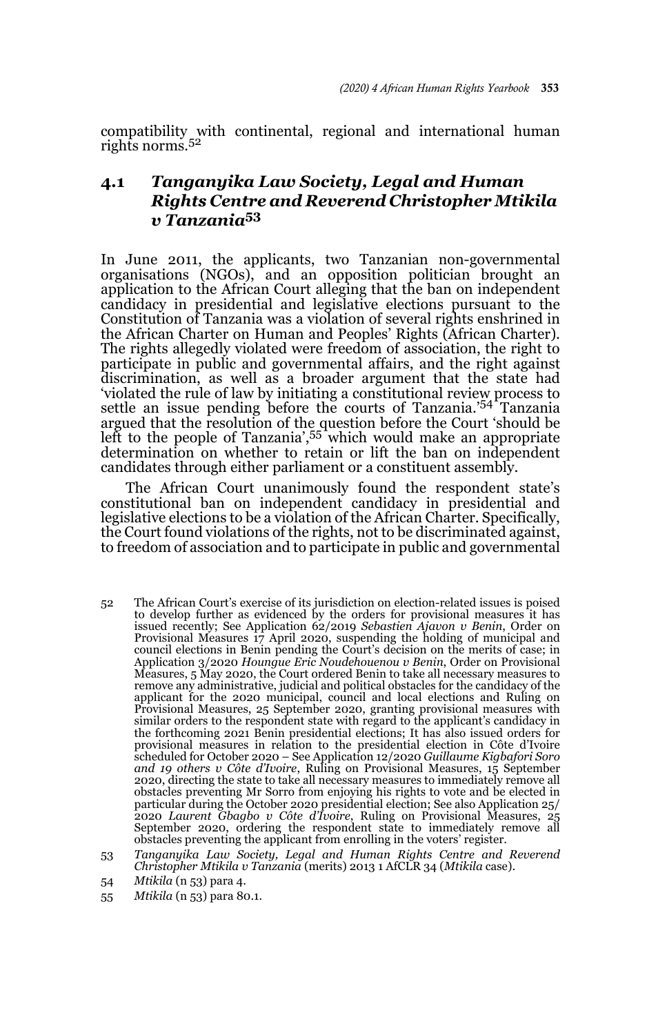compatibility with continental, regional and international human rights norms.<sup>52</sup>

## **4.1** *Tanganyika Law Society, Legal and Human Rights Centre and Reverend Christopher Mtikila v Tanzania***<sup>53</sup>**

In June 2011, the applicants, two Tanzanian non-governmental organisations (NGOs), and an opposition politician brought an application to the African Court alleging that the ban on independent candidacy in presidential and legislative elections pursuant to the Constitution of Tanzania was a violation of several rights enshrined in the African Charter on Human and Peoples' Rights (African Charter). The rights allegedly violated were freedom of association, the right to participate in public and governmental affairs, and the right against discrimination, as well as a broader argument that the state had 'violated the rule of law by initiating a constitutional review process to settle an issue pending before the courts of Tanzania.'54 Tanzania argued that the resolution of the question before the Court 'should be<br>left to the people of Tanzania',<sup>55</sup> which would make an appropriate determination on whether to retain or lift the ban on independent candidates through either parliament or a constituent assembly.

The African Court unanimously found the respondent state's constitutional ban on independent candidacy in presidential and legislative elections to be a violation of the African Charter. Specifically, the Court found violations of the rights, not to be discriminated against, to freedom of association and to participate in public and governmental

- 52 The African Court's exercise of its jurisdiction on election-related issues is poised to develop further as evidenced by the orders for provisional measures it has issued recently; See Application 62/2019 *Sebastien Ajavon v Benin*, Order on Provisional Measures 17 April 2020, suspending the holding of municipal and council elections in Benin pending the Court's decision on the merits of case; in Application 3/2020 *Houngue Eric Noudehouenou v Benin*, Order on Provisional Measures, 5 May 2020, the Court ordered Benin to take all necessary measures to remove any administrative, judicial and political obstacles for the candidacy of the applicant for the 2020 municipal, council and local elections and Ruling on Provisional Measures, 25 September 2020, granting provisional measures with similar orders to the respondent state with regard to the applicant's candidacy in the forthcoming 2021 Benin presidential elections; It has also issued orders for provisional measures in relation to the presidential election in Côte d'Ivoire scheduled for October 2020 – See Application 12/2020 *Guillaume Kigbafori Soro and 19 others v Côte d'Ivoire*, Ruling on Provisional Measures, 15 September 2020, directing the state to take all necessary measures to immediately remove all obstacles preventing Mr Sorro from enjoying his rights to vote and be elected in particular during the October 2020 presidential election; See also Application 25/ 2020 *Laurent Gbagbo v Côte d'Ivoire*, Ruling on Provisional Measures, 25 September 2020, ordering the respondent state to immediately remove all obstacles preventing the applicant from enrolling in the voters' register.
- 53 *Tanganyika Law Society, Legal and Human Rights Centre and Reverend Christopher Mtikila v Tanzania* (merits) 2013 1 AfCLR 34 (*Mtikila* case).
- 54 *Mtikila* (n 53) para 4.
- 55 *Mtikila* (n 53) para 80.1.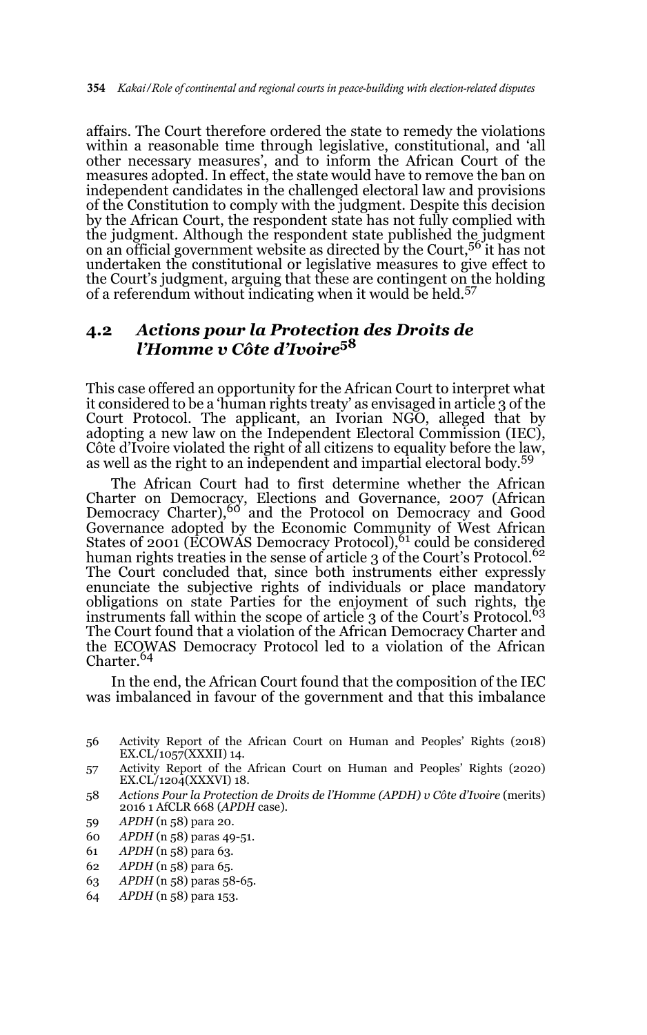affairs. The Court therefore ordered the state to remedy the violations within a reasonable time through legislative, constitutional, and 'all other necessary measures', and to inform the African Court of the measures adopted. In effect, the state would have to remove the ban on independent candidates in the challenged electoral law and provisions of the Constitution to comply with the judgment. Despite this decision by the African Court, the respondent state has not fully complied with the judgment. Although the respondent state published the judgment on an official government website as directed by the Court,<sup>56</sup> it has not undertaken the constitutional or legislative measures to give effect to the Court's judgment, arguing that these are contingent on the holding of a referendum without indicating when it would be held.<sup>57</sup>

#### **4.2** *Actions pour la Protection des Droits de l'Homme v Côte d'Ivoire***<sup>58</sup>**

This case offered an opportunity for the African Court to interpret what it considered to be a 'human rights treaty' as envisaged in article 3 of the Court Protocol. The applicant, an Ivorian NGO, alleged that by adopting a new law on the Independent Electoral Commission (IEC), Côte d'Ivoire violated the right of all citizens to equality before the law, as well as the right to an independent and impartial electoral body.<sup>59</sup>

The African Court had to first determine whether the African Charter on Democracy, Elections and Governance, 2007 (African Democracy Charter),<sup>60</sup> and the Protocol on Democracy and Good Governance adopted by the Economic Community of West African States of 2001 (ECOWAS Democracy Protocol),<sup>61</sup> could be considered human rights treaties in the sense of article 3 of the Court's Protocol.<sup>62</sup> The Court concluded that, since both instruments either expressly enunciate the subjective rights of individuals or place mandatory obligations on state Parties for the enjoyment of such rights, the instruments fall within the scope of article 3 of the Court's Protocol.<sup>63</sup> The Court found that a violation of the African Democracy Charter and the ECOWAS Democracy Protocol led to a violation of the African Charter.<sup>64</sup>

In the end, the African Court found that the composition of the IEC was imbalanced in favour of the government and that this imbalance

- 57 Activity Report of the African Court on Human and Peoples' Rights (2020) EX.CL/1204(XXXVI) 18.
- 58 *Actions Pour la Protection de Droits de l'Homme (APDH) v Côte d'Ivoire* (merits) 2016 1 AfCLR 668 (*APDH* case).
- 59 *APDH* (n 58) para 20.
- 60 *APDH* (n 58) paras 49-51.
- 61 *APDH* (n 58) para 63.
- 62 *APDH* (n 58) para 65.
- 63 *APDH* (n 58) paras 58-65.
- 64 *APDH* (n 58) para 153.

<sup>56</sup> Activity Report of the African Court on Human and Peoples' Rights (2018) EX.CL/1057(XXXII) 14.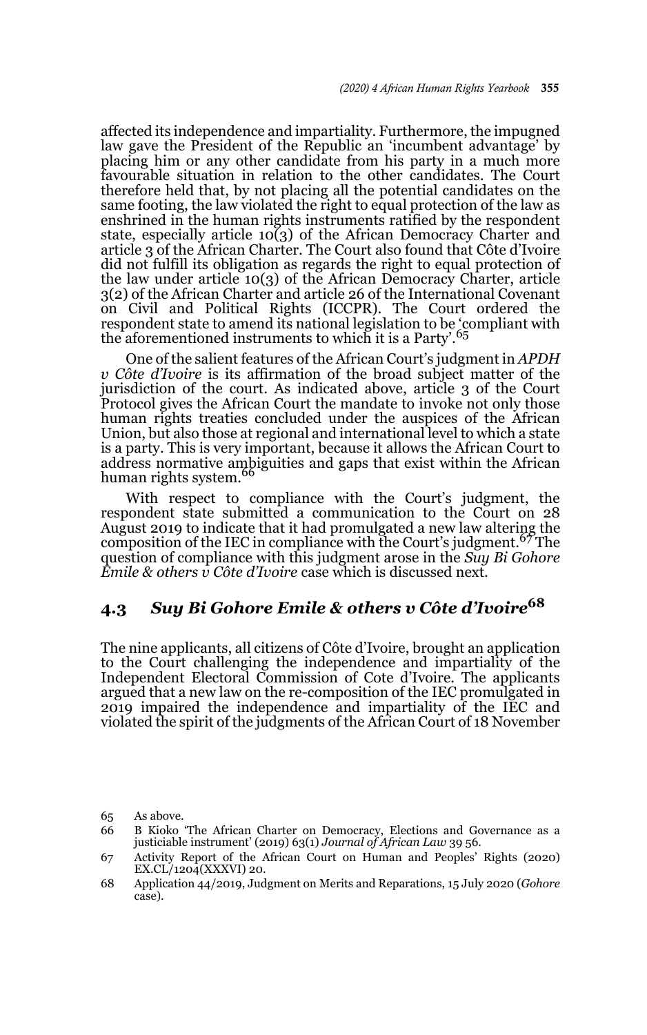affected its independence and impartiality. Furthermore, the impugned law gave the President of the Republic an 'incumbent advantage' by placing him or any other candidate from his party in a much more favourable situation in relation to the other candidates. The Court therefore held that, by not placing all the potential candidates on the same footing, the law violated the right to equal protection of the law as enshrined in the human rights instruments ratified by the respondent state, especially article  $10(3)$  of the African Democracy Charter and article 3 of the African Charter. The Court also found that Côte d'Ivoire did not fulfill its obligation as regards the right to equal protection of the law under article 10(3) of the African Democracy Charter, article 3(2) of the African Charter and article 26 of the International Covenant on Civil and Political Rights (ICCPR). The Court ordered the respondent state to amend its national legislation to be 'compliant with the aforementioned instruments to which it is a Party'.<sup>65</sup>

One of the salient features of the African Court's judgment in *APDH v Côte d'Ivoire* is its affirmation of the broad subject matter of the jurisdiction of the court. As indicated above, article 3 of the Court Protocol gives the African Court the mandate to invoke not only those human rights treaties concluded under the auspices of the African Union, but also those at regional and international level to which a state is a party. This is very important, because it allows the African Court to address normative ambiguities and gaps that exist within the African<br>human rights system.<sup>66</sup>

With respect to compliance with the Court's judgment, the respondent state submitted a communication to the Court on 28 August 2019 to indicate that it had promulgated a new law altering the composition of the IEC in compliance with the Court's judgment.<sup>67</sup> The question of compliance with this judgment arose in the *Suy Bi Gohore Emile & others v Côte d'Ivoire* case which is discussed next.

# **4.3** *Suy Bi Gohore Emile & others v Côte d'Ivoire***<sup>68</sup>**

The nine applicants, all citizens of Côte d'Ivoire, brought an application to the Court challenging the independence and impartiality of the Independent Electoral Commission of Cote d'Ivoire. The applicants argued that a new law on the re-composition of the IEC promulgated in 2019 impaired the independence and impartiality of the IEC and violated the spirit of the judgments of the African Court of 18 November

<sup>65</sup> As above.

<sup>66</sup> B Kioko 'The African Charter on Democracy, Elections and Governance as a justiciable instrument' (2019) 63(1) *Journal of African Law* 39 56.

<sup>67</sup> Activity Report of the African Court on Human and Peoples' Rights (2020) EX.CL/1204(XXXVI) 20.

<sup>68</sup> Application 44/2019, Judgment on Merits and Reparations, 15 July 2020 (*Gohore* case).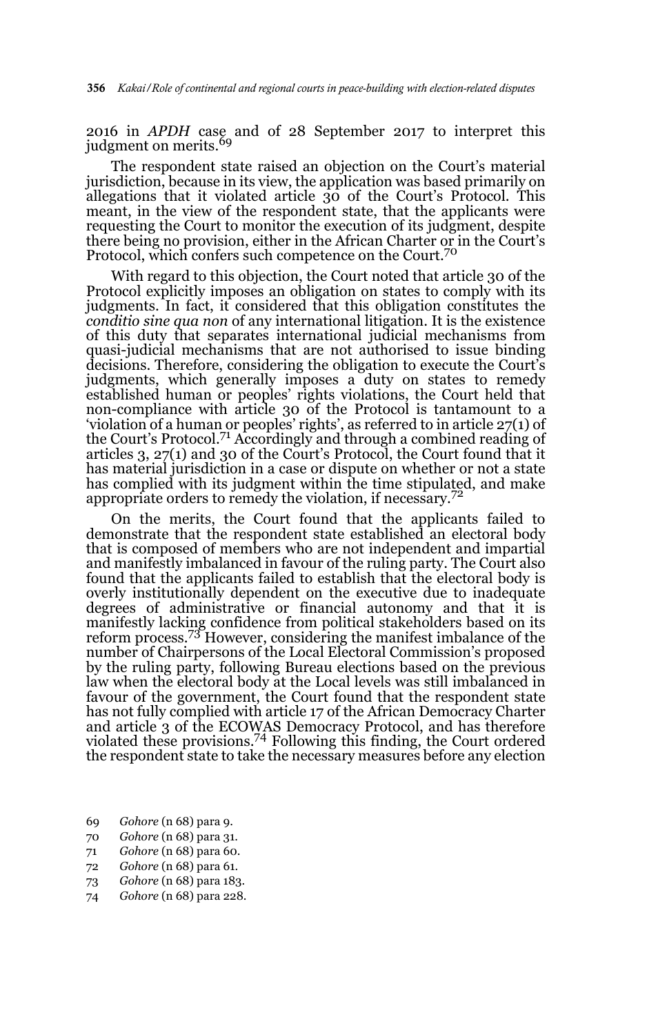2016 in *APDH* case and of 28 September 2017 to interpret this judgment on merits.<sup>69</sup>

The respondent state raised an objection on the Court's material jurisdiction, because in its view, the application was based primarily on allegations that it violated article 30 of the Court's Protocol. This meant, in the view of the respondent state, that the applicants were requesting the Court to monitor the execution of its judgment, despite there being no provision, either in the African Charter or in the Court's Protocol, which confers such competence on the Court.<sup>70</sup>

With regard to this objection, the Court noted that article 30 of the Protocol explicitly imposes an obligation on states to comply with its judgments. In fact, it considered that this obligation constitutes the *conditio sine qua non* of any international litigation. It is the existence of this duty that separates international judicial mechanisms from quasi-judicial mechanisms that are not authorised to issue binding decisions. Therefore, considering the obligation to execute the Court's judgments, which generally imposes a duty on states to remedy established human or peoples' rights violations, the Court held that non-compliance with article 30 of the Protocol is tantamount to a 'violation of a human or peoples' rights', as referred to in article 27(1) of the Court's Protocol.71 Accordingly and through a combined reading of articles 3, 27(1) and 30 of the Court's Protocol, the Court found that it has material jurisdiction in a case or dispute on whether or not a state has complied with its judgment within the time stipulated, and make appropriate orders to remedy the violation, if necessary.<sup>72</sup>

On the merits, the Court found that the applicants failed to demonstrate that the respondent state established an electoral body that is composed of members who are not independent and impartial and manifestly imbalanced in favour of the ruling party. The Court also found that the applicants failed to establish that the electoral body is overly institutionally dependent on the executive due to inadequate degrees of administrative or financial autonomy and that it is manifestly lacking confidence from political stakeholders based on its reform process.73 However, considering the manifest imbalance of the number of Chairpersons of the Local Electoral Commission's proposed by the ruling party, following Bureau elections based on the previous law when the electoral body at the Local levels was still imbalanced in favour of the government, the Court found that the respondent state has not fully complied with article 17 of the African Democracy Charter and article 3 of the ECOWAS Democracy Protocol, and has therefore violated these provisions.74 Following this finding, the Court ordered the respondent state to take the necessary measures before any election

- 69 *Gohore* (n 68) para 9.
- 70 *Gohore* (n 68) para 31.
- 71 *Gohore* (n 68) para 60.
- 72 *Gohore* (n 68) para 61.
- 73 *Gohore* (n 68) para 183.
- 74 *Gohore* (n 68) para 228.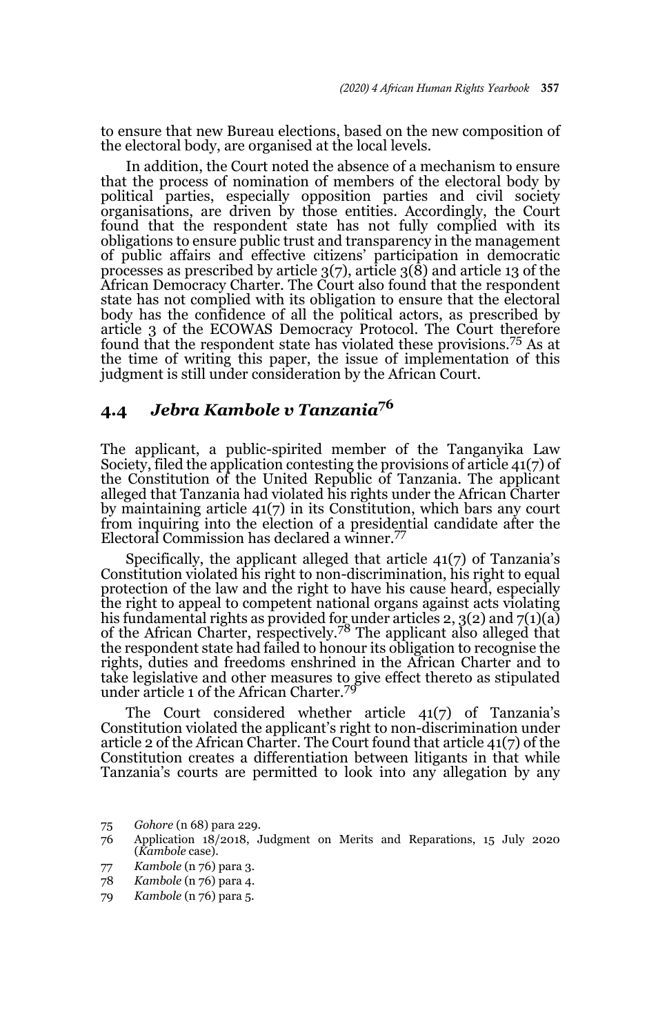to ensure that new Bureau elections, based on the new composition of the electoral body, are organised at the local levels.

In addition, the Court noted the absence of a mechanism to ensure that the process of nomination of members of the electoral body by political parties, especially opposition parties and civil society organisations, are driven by those entities. Accordingly, the Court found that the respondent state has not fully complied with its obligations to ensure public trust and transparency in the management of public affairs and effective citizens' participation in democratic processes as prescribed by article 3(7), article 3(8) and article 13 of the African Democracy Charter. The Court also found that the respondent state has not complied with its obligation to ensure that the electoral body has the confidence of all the political actors, as prescribed by article 3 of the ECOWAS Democracy Protocol. The Court therefore found that the respondent state has violated these provisions.75 As at the time of writing this paper, the issue of implementation of this judgment is still under consideration by the African Court.

## **4.4** *Jebra Kambole v Tanzania***<sup>76</sup>**

The applicant, a public-spirited member of the Tanganyika Law Society, filed the application contesting the provisions of article 41(7) of the Constitution of the United Republic of Tanzania. The applicant alleged that Tanzania had violated his rights under the African Charter by maintaining article 41(7) in its Constitution, which bars any court from inquiring into the election of a presidential candidate after the Electoral Commission has declared a winner.<sup>77</sup>

Specifically, the applicant alleged that article 41(7) of Tanzania's Constitution violated his right to non-discrimination, his right to equal protection of the law and the right to have his cause heard, especially the right to appeal to competent national organs against acts violating his fundamental rights as provided for under articles 2, 3(2) and 7(1)(a)<br>of the African Charter, respectively.<sup>78</sup> The applicant also alleged that the respondent state had failed to honour its obligation to recognise the rights, duties and freedoms enshrined in the African Charter and to take legislative and other measures to give effect thereto as stipulated under article 1 of the African Charter.<sup>79</sup>

The Court considered whether article 41(7) of Tanzania's Constitution violated the applicant's right to non-discrimination under article 2 of the African Charter. The Court found that article 41(7) of the Constitution creates a differentiation between litigants in that while Tanzania's courts are permitted to look into any allegation by any

<sup>75</sup> *Gohore* (n 68) para 229.

<sup>76</sup> Application 18/2018, Judgment on Merits and Reparations, 15 July 2020 (*Kambole* case).

<sup>77</sup> *Kambole* (n 76) para 3.

<sup>78</sup> *Kambole* (n 76) para 4.

<sup>79</sup> *Kambole* (n 76) para 5.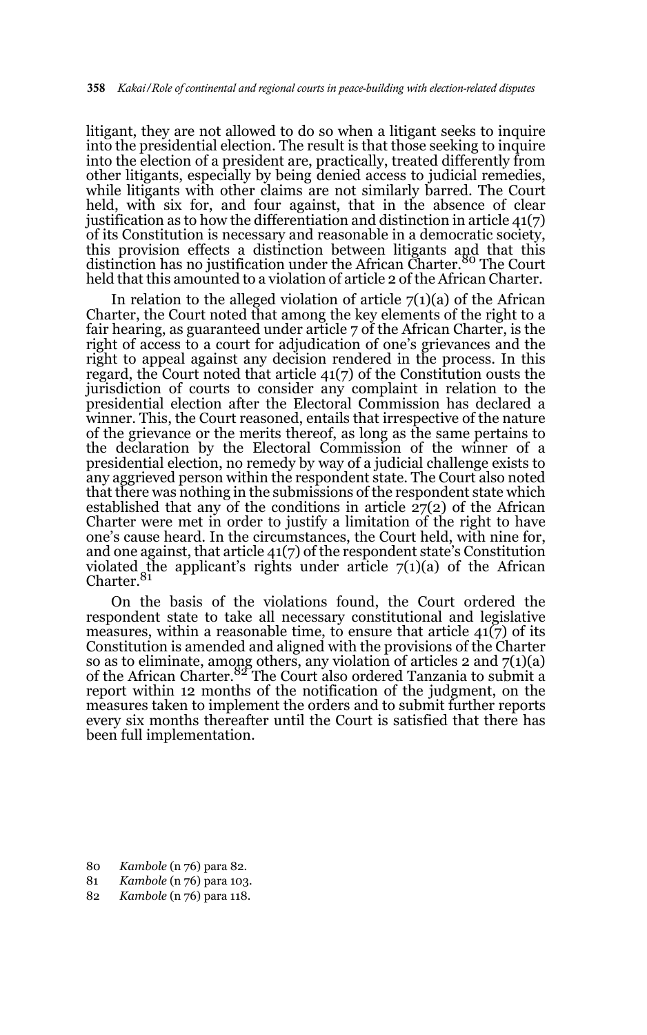litigant, they are not allowed to do so when a litigant seeks to inquire into the presidential election. The result is that those seeking to inquire into the election of a president are, practically, treated differently from other litigants, especially by being denied access to judicial remedies, while litigants with other claims are not similarly barred. The Court held, with six for, and four against, that in the absence of clear justification as to how the differentiation and distinction in article 41(7) of its Constitution is necessary and reasonable in a democratic society, this provision effects a distinction between litigants and that this distinction has no justification under the African Charter.<sup>80</sup> The Court held that this amounted to a violation of article 2 of the African Charter.

In relation to the alleged violation of article  $7(1)(a)$  of the African Charter, the Court noted that among the key elements of the right to a fair hearing, as guaranteed under article 7 of the African Charter, is the right of access to a court for adjudication of one's grievances and the right to appeal against any decision rendered in the process. In this regard, the Court noted that article 41(7) of the Constitution ousts the jurisdiction of courts to consider any complaint in relation to the presidential election after the Electoral Commission has declared a winner. This, the Court reasoned, entails that irrespective of the nature of the grievance or the merits thereof, as long as the same pertains to the declaration by the Electoral Commission of the winner of a presidential election, no remedy by way of a judicial challenge exists to any aggrieved person within the respondent state. The Court also noted that there was nothing in the submissions of the respondent state which established that any of the conditions in article 27(2) of the African Charter were met in order to justify a limitation of the right to have one's cause heard. In the circumstances, the Court held, with nine for, and one against, that article 41(7) of the respondent state's Constitution violated the applicant's rights under article 7(1)(a) of the African<br>Charter.<sup>81</sup>

On the basis of the violations found, the Court ordered the respondent state to take all necessary constitutional and legislative measures, within a reasonable time, to ensure that article  $41(7)$  of its Constitution is amended and aligned with the provisions of the Charter so as to eliminate, among others, any violation of articles 2 and 7(1)(a)<br>of the African Charter.<sup>82</sup> The Court also ordered Tanzania to submit a report within 12 months of the notification of the judgment, on the measures taken to implement the orders and to submit further reports every six months thereafter until the Court is satisfied that there has been full implementation.

- 80 *Kambole* (n 76) para 82.
- 81 *Kambole* (n 76) para 103.
- 82 *Kambole* (n 76) para 118.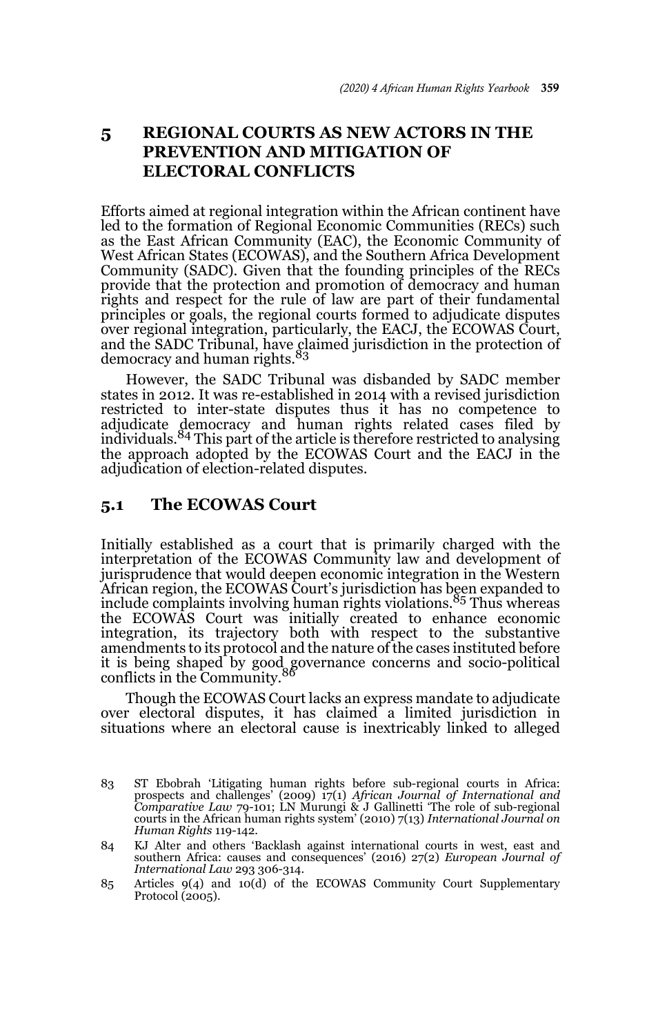## **5 REGIONAL COURTS AS NEW ACTORS IN THE PREVENTION AND MITIGATION OF ELECTORAL CONFLICTS**

Efforts aimed at regional integration within the African continent have led to the formation of Regional Economic Communities (RECs) such as the East African Community (EAC), the Economic Community of West African States (ECOWAS), and the Southern Africa Development Community (SADC). Given that the founding principles of the RECs provide that the protection and promotion of democracy and human rights and respect for the rule of law are part of their fundamental principles or goals, the regional courts formed to adjudicate disputes over regional integration, particularly, the EACJ, the ECOWAS Court, and the SADC Tribunal, have claimed jurisdiction in the protection of<br>democracy and human rights.<sup>83</sup>

However, the SADC Tribunal was disbanded by SADC member states in 2012. It was re-established in 2014 with a revised jurisdiction restricted to inter-state disputes thus it has no competence to adjudicate democracy and human rights related cases filed by<br>individuals.<sup>84</sup>This part of the article is therefore restricted to analysing the approach adopted by the ECOWAS Court and the EACJ in the adjudication of election-related disputes.

#### **5.1 The ECOWAS Court**

Initially established as a court that is primarily charged with the interpretation of the ECOWAS Community law and development of jurisprudence that would deepen economic integration in the Western African region, the ECOWAS Court's jurisdiction has been expanded to include complaints involving human rights violations.85 Thus whereas the ECOWAS Court was initially created to enhance economic integration, its trajectory both with respect to the substantive amendments to its protocol and the nature of the cases instituted before it is being shaped by good governance concerns and socio-political conflicts in the Community.

Though the ECOWAS Court lacks an express mandate to adjudicate over electoral disputes, it has claimed a limited jurisdiction in situations where an electoral cause is inextricably linked to alleged

<sup>83</sup> ST Ebobrah 'Litigating human rights before sub-regional courts in Africa: prospects and challenges' (2009) 17(1) *African Journal of International and Comparative Law* 79-101; LN Murungi & J Gallinetti 'The role of sub-regional courts in the African human rights system' (2010) 7(13) *International Journal on Human Rights* 119-142.

<sup>84</sup> KJ Alter and others 'Backlash against international courts in west, east and southern Africa: causes and consequences' (2016) 27(2) *European Journal of International Law* 293 306-314.

<sup>85</sup> Articles 9(4) and 10(d) of the ECOWAS Community Court Supplementary Protocol (2005).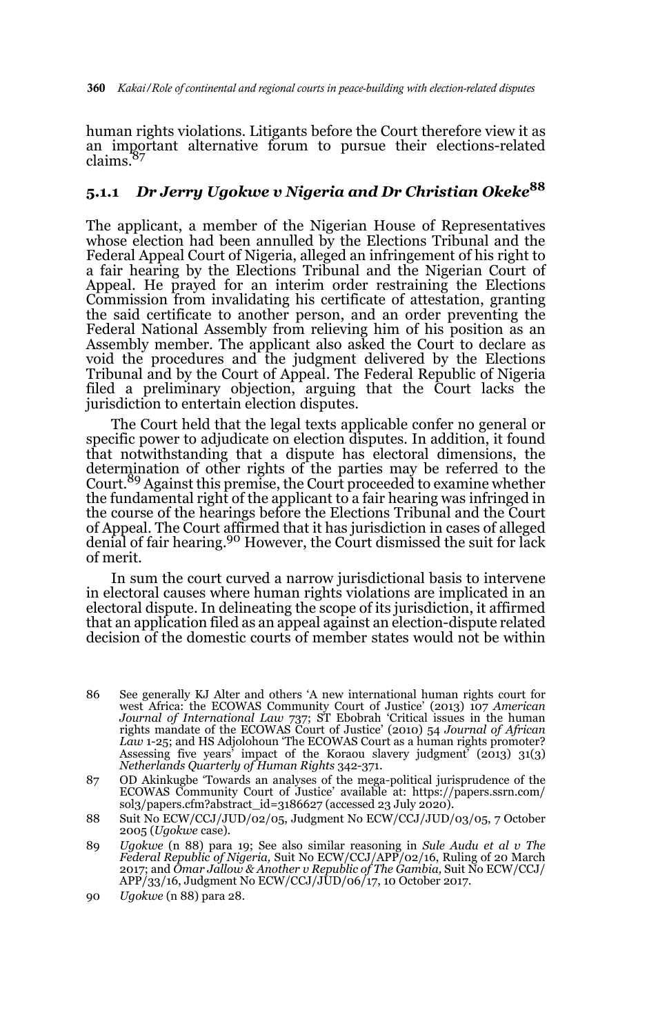human rights violations. Litigants before the Court therefore view it as an important alternative forum to pursue their elections-related claims.

## **5.1.1** *Dr Jerry Ugokwe v Nigeria and Dr Christian Okeke***<sup>88</sup>**

The applicant, a member of the Nigerian House of Representatives whose election had been annulled by the Elections Tribunal and the Federal Appeal Court of Nigeria, alleged an infringement of his right to a fair hearing by the Elections Tribunal and the Nigerian Court of Appeal. He prayed for an interim order restraining the Elections Commission from invalidating his certificate of attestation, granting the said certificate to another person, and an order preventing the Federal National Assembly from relieving him of his position as an Assembly member. The applicant also asked the Court to declare as void the procedures and the judgment delivered by the Elections Tribunal and by the Court of Appeal. The Federal Republic of Nigeria filed a preliminary objection, arguing that the Court lacks the jurisdiction to entertain election disputes.

The Court held that the legal texts applicable confer no general or specific power to adjudicate on election disputes*.* In addition, it found that notwithstanding that a dispute has electoral dimensions, the determination of other rights of the parties may be referred to the Court.<sup>89</sup> Against this premise, the Court proceeded to examine whether the fundamental right of the applicant to a fair hearing was infringed in the course of the hearings before the Elections Tribunal and the Court of Appeal. The Court affirmed that it has jurisdiction in cases of alleged denial of fair hearing.<sup>90</sup> However, the Court dismissed the suit for lack of merit.

In sum the court curved a narrow jurisdictional basis to intervene in electoral causes where human rights violations are implicated in an electoral dispute. In delineating the scope of its jurisdiction, it affirmed that an application filed as an appeal against an election-dispute related decision of the domestic courts of member states would not be within

- 86 See generally KJ Alter and others 'A new international human rights court for west Africa: the ECOWAS Community Court of Justice' (2013) 107 *American Journal of International Law* 737; ST Ebobrah 'Critical issues in the human rights mandate of the ECOWAS Court of Justice' (2010) 54 *Journal of African Law* 1-25; and HS Adjolohoun 'The ECOWAS Court as a human rights promoter? Assessing five years' impact of the Koraou slavery judgment' (2013) 31(3) *Netherlands Quarterly of Human Rights* 342-371.
- 87 OD Akinkugbe 'Towards an analyses of the mega-political jurisprudence of the ECOWAS Community Court of Justice' available at: https://papers.ssrn.com/ sol3/papers.cfm?abstract\_id=3186627 (accessed 23 July 2020).
- 88 Suit No ECW/CCJ/JUD/02/05, Judgment No ECW/CCJ/JUD/03/05, 7 October 2005 (*Ugokwe* case).
- 89 *Ugokwe* (n 88) para 19; See also similar reasoning in *Sule Audu et al v The Federal Republic of Nigeria,* Suit No ECW/CCJ/APP/02/16, Ruling of 20 March 2017; and *Omar Jallow & Another v Republic of The Gambia,* Suit No ECW/CCJ/ APP/33/16, Judgment No ECW/CCJ/JUD/06/17, 10 October 2017.
- 90 *Ugokwe* (n 88) para 28.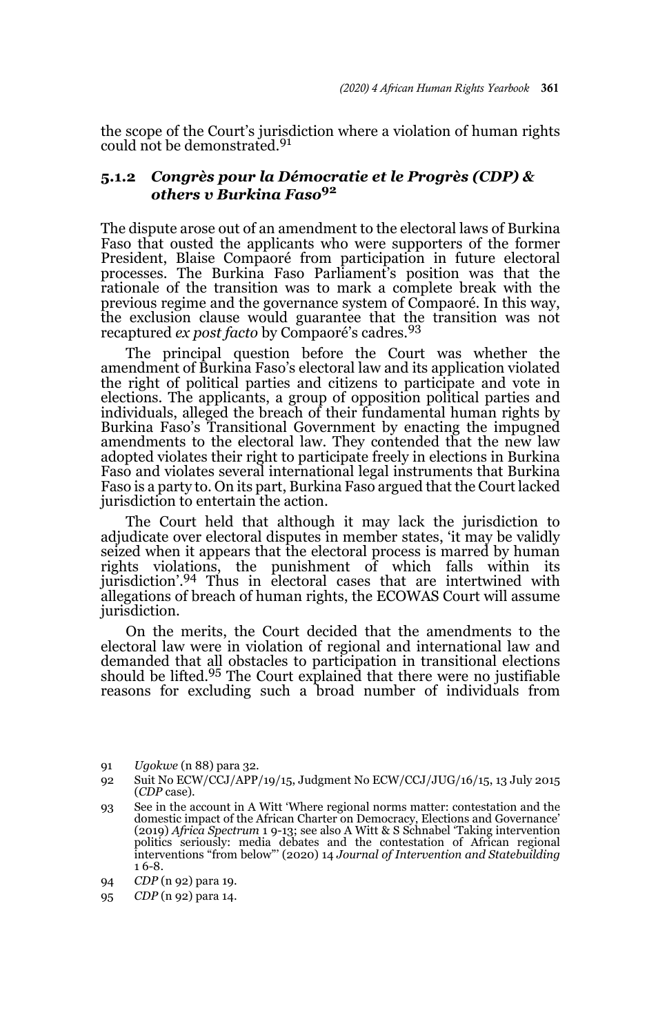the scope of the Court's jurisdiction where a violation of human rights could not be demonstrated.<sup>91</sup>

#### **5.1.2** *Congrès pour la Démocratie et le Progrès (CDP) & others v Burkina Faso***<sup>92</sup>**

The dispute arose out of an amendment to the electoral laws of Burkina Faso that ousted the applicants who were supporters of the former President, Blaise Compaoré from participation in future electoral processes. The Burkina Faso Parliament's position was that the rationale of the transition was to mark a complete break with the previous regime and the governance system of Compaoré. In this way, the exclusion clause would guarantee that the transition was not recaptured *ex post facto* by Compaoré's cadres.<sup>93</sup>

The principal question before the Court was whether the amendment of Burkina Faso's electoral law and its application violated the right of political parties and citizens to participate and vote in elections. The applicants, a group of opposition political parties and individuals, alleged the breach of their fundamental human rights by Burkina Faso's Transitional Government by enacting the impugned amendments to the electoral law. They contended that the new law adopted violates their right to participate freely in elections in Burkina Faso and violates several international legal instruments that Burkina Faso is a party to. On its part, Burkina Faso argued that the Court lacked jurisdiction to entertain the action.

The Court held that although it may lack the jurisdiction to adjudicate over electoral disputes in member states, 'it may be validly seized when it appears that the electoral process is marred by human rights violations, the punishment of which falls within its jurisdiction'.94 Thus in electoral cases that are intertwined with allegations of breach of human rights, the ECOWAS Court will assume jurisdiction.

On the merits, the Court decided that the amendments to the electoral law were in violation of regional and international law and demanded that all obstacles to participation in transitional elections should be lifted.95 The Court explained that there were no justifiable reasons for excluding such a broad number of individuals from

91 *Ugokwe* (n 88) para 32.

<sup>92</sup> Suit No ECW/CCJ/APP/19/15, Judgment No ECW/CCJ/JUG/16/15, 13 July 2015 (*CDP* case).

<sup>93</sup> See in the account in A Witt 'Where regional norms matter: contestation and the domestic impact of the African Charter on Democracy, Elections and Governance' (2019) *Africa Spectrum* 1 9-13; see also A Witt & S Schnabel 'Taking intervention politics seriously: media debates and the contestation of African regional interventions "from below"' (2020) 14 *Journal of Intervention and Statebuilding* 1 6-8.

<sup>94</sup> *CDP* (n 92) para 19.

<sup>95</sup> *CDP* (n 92) para 14.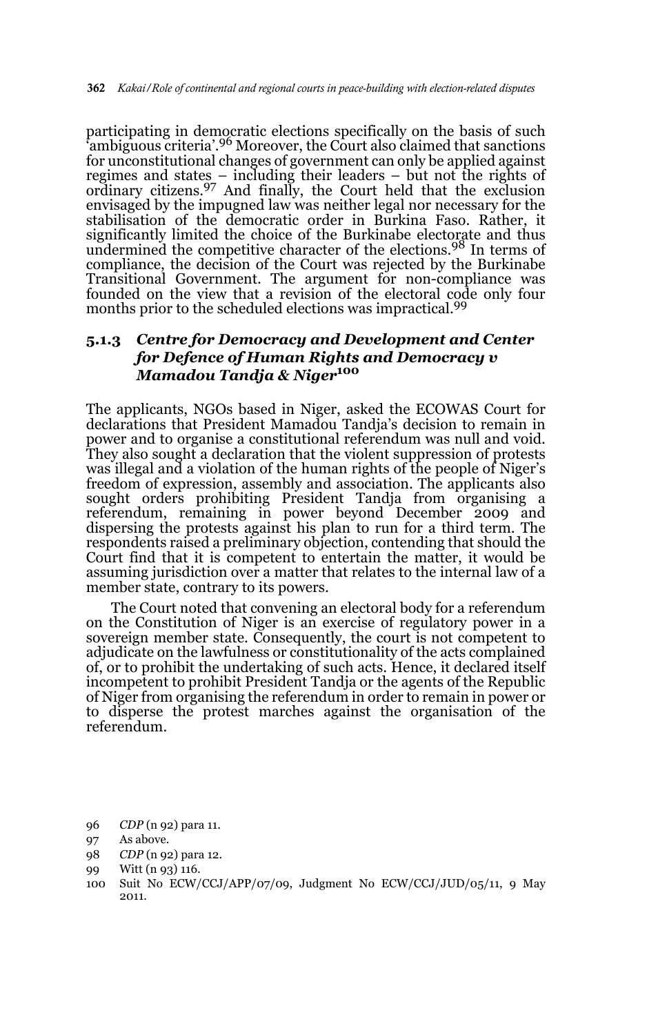participating in democratic elections specifically on the basis of such ambiguous criteria'.<sup>96</sup> Moreover, the Court also claimed that sanctions for unconstitutional changes of government can only be applied against regimes and states – including their leaders – but not the rights of ordinary citizens.<sup>97</sup> And finally, the Court held that the exclusion envisaged by the impugned law was neither legal nor necessary for the stabilisation of the democratic order in Burkina Faso. Rather, it significantly limited the choice of the Burkinabe electorate and thus undermined the competitive character of the elections.98 In terms of compliance, the decision of the Court was rejected by the Burkinabe Transitional Government. The argument for non-compliance was founded on the view that a revision of the electoral code only four months prior to the scheduled elections was impractical.<sup>99</sup>

### **5.1.3** *Centre for Democracy and Development and Center for Defence of Human Rights and Democracy v Mamadou Tandja & Niger***<sup>100</sup>**

The applicants, NGOs based in Niger, asked the ECOWAS Court for declarations that President Mamadou Tandja's decision to remain in power and to organise a constitutional referendum was null and void. They also sought a declaration that the violent suppression of protests was illegal and a violation of the human rights of the people of Niger's freedom of expression, assembly and association. The applicants also sought orders prohibiting President Tandja from organising a referendum, remaining in power beyond December 2009 and dispersing the protests against his plan to run for a third term. The respondents raised a preliminary objection, contending that should the Court find that it is competent to entertain the matter, it would be assuming jurisdiction over a matter that relates to the internal law of a member state, contrary to its powers.

The Court noted that convening an electoral body for a referendum on the Constitution of Niger is an exercise of regulatory power in a sovereign member state. Consequently, the court is not competent to adjudicate on the lawfulness or constitutionality of the acts complained of, or to prohibit the undertaking of such acts. Hence, it declared itself incompetent to prohibit President Tandja or the agents of the Republic of Niger from organising the referendum in order to remain in power or to disperse the protest marches against the organisation of the referendum.

<sup>96</sup> *CDP* (n 92) para 11.

<sup>97</sup> As above.

<sup>98</sup> *CDP* (n 92) para 12.

<sup>99</sup> Witt (n 93) 116.

<sup>100</sup> Suit No ECW/CCJ/APP/07/09, Judgment No ECW/CCJ/JUD/05/11, 9 May 2011.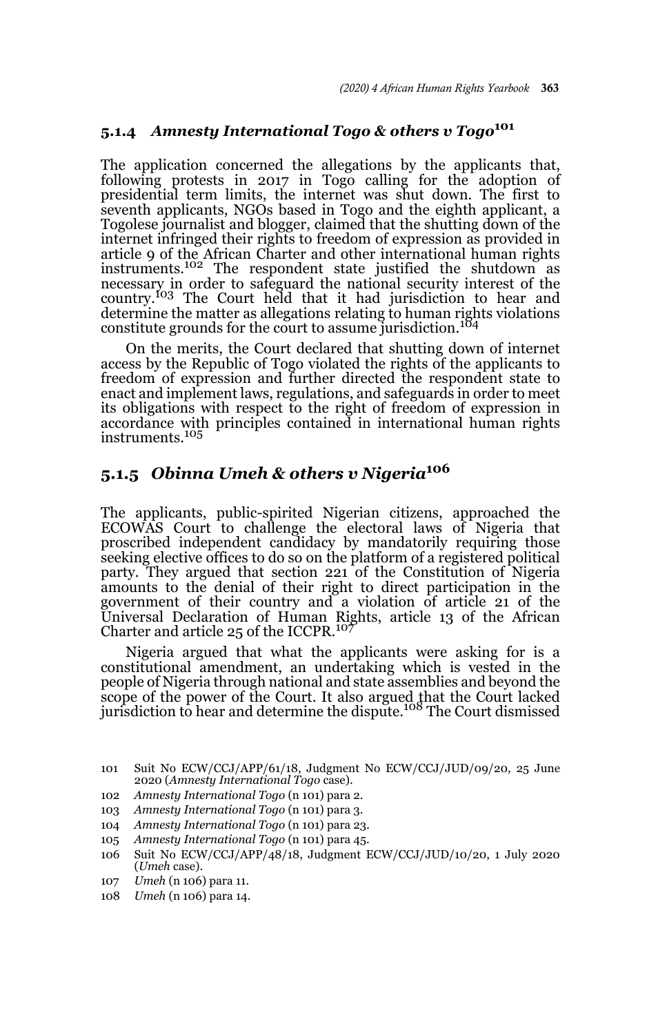## **5.1.4** *Amnesty International Togo & others v Togo***<sup>101</sup>**

The application concerned the allegations by the applicants that, following protests in 2017 in Togo calling for the adoption of presidential term limits, the internet was shut down. The first to seventh applicants, NGOs based in Togo and the eighth applicant, a Togolese journalist and blogger, claimed that the shutting down of the internet infringed their rights to freedom of expression as provided in article 9 of the African Charter and other international human rights instruments.102 The respondent state justified the shutdown as necessary in order to safeguard the national security interest of the country.103 The Court held that it had jurisdiction to hear and determine the matter as allegations relating to human rights violations constitute grounds for the court to assume jurisdiction.<sup>104</sup>

On the merits, the Court declared that shutting down of internet access by the Republic of Togo violated the rights of the applicants to freedom of expression and further directed the respondent state to enact and implement laws, regulations, and safeguards in order to meet its obligations with respect to the right of freedom of expression in accordance with principles contained in international human rights instruments.<sup>105</sup>

# **5.1.5** *Obinna Umeh & others v Nigeria***<sup>106</sup>**

The applicants, public-spirited Nigerian citizens, approached the ECOWAS Court to challenge the electoral laws of Nigeria that proscribed independent candidacy by mandatorily requiring those seeking elective offices to do so on the platform of a registered political party. They argued that section 221 of the Constitution of Nigeria amounts to the denial of their right to direct participation in the government of their country and a violation of article 21 of the Universal Declaration of Human Rights, article 13 of the African Charter and article  $25$  of the ICCPR.<sup>107</sup>

Nigeria argued that what the applicants were asking for is a constitutional amendment, an undertaking which is vested in the people of Nigeria through national and state assemblies and beyond the scope of the power of the Court. It also argued that the Court lacked<br>jurisdiction to hear and determine the dispute.<sup>108</sup> The Court dismissed

- 105 *Amnesty International Togo* (n 101) para 45.
- 106 Suit No ECW/CCJ/APP/48/18, Judgment ECW/CCJ/JUD/10/20, 1 July 2020 (*Umeh* case).
- 107 *Umeh* (n 106) para 11.
- 108 *Umeh* (n 106) para 14.

<sup>101</sup> Suit No ECW/CCJ/APP/61/18, Judgment No ECW/CCJ/JUD/09/20, 25 June 2020 (*Amnesty International Togo* case).

<sup>102</sup> *Amnesty International Togo* (n 101) para 2.

<sup>103</sup> *Amnesty International Togo* (n 101) para 3.

<sup>104</sup> *Amnesty International Togo* (n 101) para 23.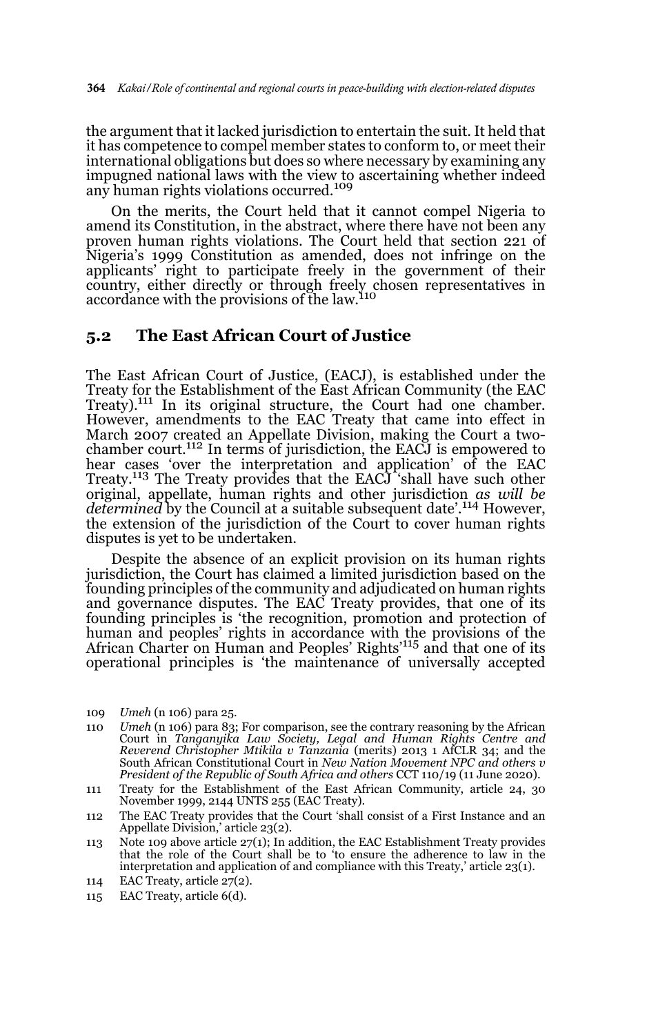the argument that it lacked jurisdiction to entertain the suit. It held that it has competence to compel member states to conform to, or meet their international obligations but does so where necessary by examining any impugned national laws with the view to ascertaining whether indeed any human rights violations occurred.<sup>109</sup>

On the merits, the Court held that it cannot compel Nigeria to amend its Constitution, in the abstract, where there have not been any proven human rights violations. The Court held that section 221 of Nigeria's 1999 Constitution as amended, does not infringe on the applicants' right to participate freely in the government of their country, either directly or through freely chosen representatives in accordance with the provisions of the law.<sup>110</sup>

#### **5.2 The East African Court of Justice**

The East African Court of Justice, (EACJ), is established under the Treaty for the Establishment of the East African Community (the EAC Treaty).<sup>111</sup> In its original structure, the Court had one chamber. However, amendments to the EAC Treaty that came into effect in March 2007 created an Appellate Division, making the Court a twochamber court.112 In terms of jurisdiction, the EACJ is empowered to hear cases 'over the interpretation and application' of the EAC Treaty.113 The Treaty provides that the EACJ 'shall have such other original, appellate, human rights and other jurisdiction *as will be determined* by the Council at a suitable subsequent date'.114 However, the extension of the jurisdiction of the Court to cover human rights disputes is yet to be undertaken.

Despite the absence of an explicit provision on its human rights jurisdiction, the Court has claimed a limited jurisdiction based on the founding principles of the community and adjudicated on human rights and governance disputes. The EAC Treaty provides, that one of its founding principles is 'the recognition, promotion and protection of human and peoples' rights in accordance with the provisions of the African Charter on Human and Peoples' Rights'115 and that one of its operational principles is 'the maintenance of universally accepted

- 110 *Umeh* (n 106) para 83; For comparison, see the contrary reasoning by the African Court in *Tanganyika Law Society, Legal and Human Rights Centre and Reverend Christopher Mtikila v Tanzania* (merits) 2013 1 AfCLR 34; and the South African Constitutional Court in *New Nation Movement NPC and others v President of the Republic of South Africa and others* CCT 110/19 (11 June 2020).
- 111 Treaty for the Establishment of the East African Community, article 24, 30 November 1999, 2144 UNTS 255 (EAC Treaty).
- 112 The EAC Treaty provides that the Court 'shall consist of a First Instance and an Appellate Division,' article 23(2).
- 113 Note 109 above article 27(1); In addition, the EAC Establishment Treaty provides that the role of the Court shall be to 'to ensure the adherence to law in the interpretation and application of and compliance with this Treaty,' article 23(1).
- 114 EAC Treaty, article 27(2).
- 115 EAC Treaty, article 6(d).

<sup>109</sup> *Umeh* (n 106) para 25.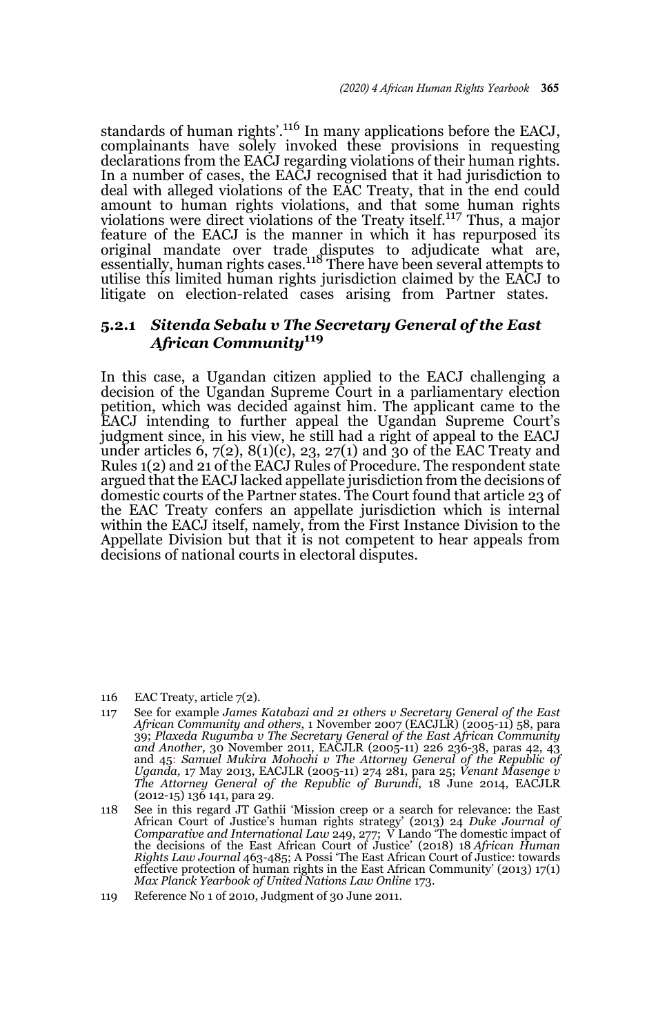standards of human rights'.<sup>116</sup> In many applications before the EACJ, complainants have solely invoked these provisions in requesting declarations from the EACJ regarding violations of their human rights. In a number of cases, the EACJ recognised that it had jurisdiction to deal with alleged violations of the EAC Treaty, that in the end could amount to human rights violations, and that some human rights violations were direct violations of the Treaty itself.117 Thus, a major feature of the EACJ is the manner in which it has repurposed its original mandate over trade disputes to adjudicate what are,<br>essentially, human rights cases.<sup>118</sup> There have been several attempts to utilise this limited human rights jurisdiction claimed by the EACJ to litigate on election-related cases arising from Partner states.

#### **5.2.1** *Sitenda Sebalu v The Secretary General of the East African Community***<sup>119</sup>**

In this case, a Ugandan citizen applied to the EACJ challenging a decision of the Ugandan Supreme Court in a parliamentary election petition, which was decided against him. The applicant came to the EACJ intending to further appeal the Ugandan Supreme Court's judgment since, in his view, he still had a right of appeal to the EACJ under articles  $6, 7(2), 8(1)(c), 23, 27(1)$  and 30 of the EAC Treaty and Rules 1(2) and 21 of the EACJ Rules of Procedure. The respondent state argued that the EACJ lacked appellate jurisdiction from the decisions of domestic courts of the Partner states. The Court found that article 23 of the EAC Treaty confers an appellate jurisdiction which is internal within the EACJ itself, namely, from the First Instance Division to the Appellate Division but that it is not competent to hear appeals from decisions of national courts in electoral disputes.

116 EAC Treaty, article 7(2).

- 117 See for example *James Katabazi and 21 others v Secretary General of the East African Community and others*, 1 November 2007 (EACJLR) (2005-11) 58, para 39; *Plaxeda Rugumba v The Secretary General of the East African Community and Another,* 30 November 2011, EACJLR (2005-11) 226 236-38, paras 42, 43 and 45: *Samuel Mukira Mohochi v The Attorney General of the Republic of Uganda,* 17 May 2013, EACJLR (2005-11) 274 281, para 25; *Venant Masenge v The Attorney General of the Republic of Burundi*, 18 June 2014, EACJLR (2012-15) 136 141, para 29.
- 118 See in this regard JT Gathii 'Mission creep or a search for relevance: the East African Court of Justice's human rights strategy' (2013) 24 *Duke Journal of Comparative and International Law* 249, 277; V Lando 'The domestic impact of the decisions of the East African Court of Justice' (2018) 18 *African Human Rights Law Journal* 463-485; A Possi 'The East African Court of Justice: towards effective protection of human rights in the East African Community' (2013) 17(1) *Max Planck Yearbook of United Nations Law Online* 173.

<sup>119</sup> Reference No 1 of 2010, Judgment of 30 June 2011.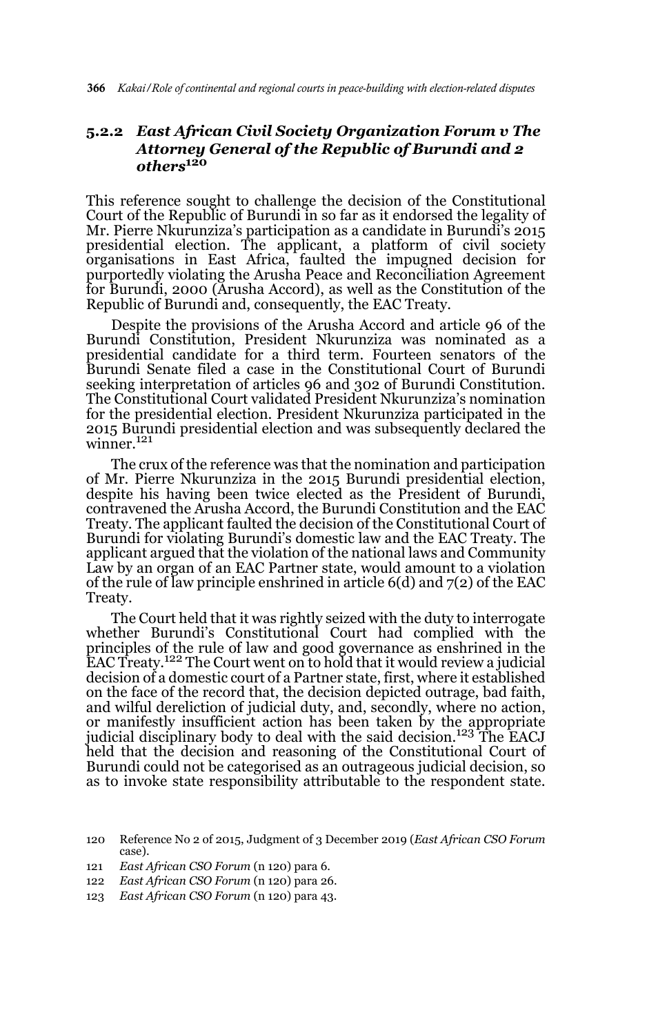#### **5.2.2** *East African Civil Society Organization Forum v The Attorney General of the Republic of Burundi and 2 others***<sup>120</sup>**

This reference sought to challenge the decision of the Constitutional Court of the Republic of Burundi in so far as it endorsed the legality of Mr. Pierre Nkurunziza's participation as a candidate in Burundi's 2015 presidential election. The applicant, a platform of civil society organisations in East Africa, faulted the impugned decision for purportedly violating the Arusha Peace and Reconciliation Agreement for Burundi, 2000 (Arusha Accord), as well as the Constitution of the Republic of Burundi and, consequently, the EAC Treaty.

Despite the provisions of the Arusha Accord and article 96 of the Burundi Constitution, President Nkurunziza was nominated as a presidential candidate for a third term. Fourteen senators of the Burundi Senate filed a case in the Constitutional Court of Burundi seeking interpretation of articles 96 and 302 of Burundi Constitution. The Constitutional Court validated President Nkurunziza's nomination for the presidential election. President Nkurunziza participated in the 2015 Burundi presidential election and was subsequently declared the winner.<sup>121</sup>

The crux of the reference was that the nomination and participation of Mr. Pierre Nkurunziza in the 2015 Burundi presidential election, despite his having been twice elected as the President of Burundi, contravened the Arusha Accord, the Burundi Constitution and the EAC Treaty. The applicant faulted the decision of the Constitutional Court of Burundi for violating Burundi's domestic law and the EAC Treaty. The applicant argued that the violation of the national laws and Community Law by an organ of an EAC Partner state, would amount to a violation of the rule of law principle enshrined in article 6(d) and 7(2) of the EAC Treaty.

The Court held that it was rightly seized with the duty to interrogate whether Burundi's Constitutional Court had complied with the principles of the rule of law and good governance as enshrined in the<br>EAC Treaty.<sup>122</sup> The Court went on to hold that it would review a judicial decision of a domestic court of a Partner state, first, where it established on the face of the record that, the decision depicted outrage, bad faith, and wilful dereliction of judicial duty, and, secondly, where no action, or manifestly insufficient action has been taken by the appropriate judicial disciplinary body to deal with the said decision.<sup>123</sup> The EACJ held that the decision and reasoning of the Constitutional Court of Burundi could not be categorised as an outrageous judicial decision, so as to invoke state responsibility attributable to the respondent state.

<sup>120</sup> Reference No 2 of 2015, Judgment of 3 December 2019 (*East African CSO Forum* case).

<sup>121</sup> *East African CSO Forum* (n 120) para 6.

<sup>122</sup> *East African CSO Forum* (n 120) para 26.

<sup>123</sup> *East African CSO Forum* (n 120) para 43.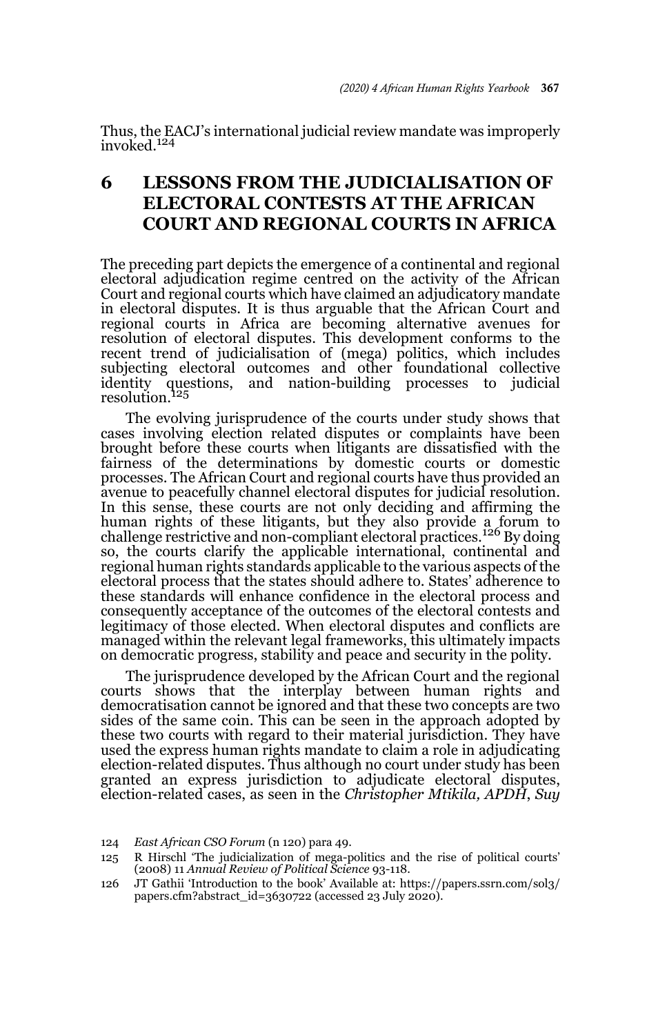Thus, the EACJ's international judicial review mandate was improperly invoked.<sup>124</sup>

# **6 LESSONS FROM THE JUDICIALISATION OF ELECTORAL CONTESTS AT THE AFRICAN COURT AND REGIONAL COURTS IN AFRICA**

The preceding part depicts the emergence of a continental and regional electoral adjudication regime centred on the activity of the African Court and regional courts which have claimed an adjudicatory mandate in electoral disputes. It is thus arguable that the African Court and regional courts in Africa are becoming alternative avenues for resolution of electoral disputes. This development conforms to the recent trend of judicialisation of (mega) politics, which includes subjecting electoral outcomes and other foundational collective identity questions, and nation-building processes to judicial resolution.<sup>125</sup>

The evolving jurisprudence of the courts under study shows that cases involving election related disputes or complaints have been brought before these courts when litigants are dissatisfied with the fairness of the determinations by domestic courts or domestic processes. The African Court and regional courts have thus provided an avenue to peacefully channel electoral disputes for judicial resolution. In this sense, these courts are not only deciding and affirming the human rights of these litigants, but they also provide a forum to challenge restrictive and non-compliant electoral practices.<sup>126</sup> By doing so, the courts clarify the applicable international, continental and regional human rights standards applicable to the various aspects of the electoral process that the states should adhere to. States' adherence to these standards will enhance confidence in the electoral process and consequently acceptance of the outcomes of the electoral contests and legitimacy of those elected. When electoral disputes and conflicts are managed within the relevant legal frameworks, this ultimately impacts on democratic progress, stability and peace and security in the polity.

The jurisprudence developed by the African Court and the regional courts shows that the interplay between human rights and democratisation cannot be ignored and that these two concepts are two sides of the same coin. This can be seen in the approach adopted by these two courts with regard to their material jurisdiction. They have used the express human rights mandate to claim a role in adjudicating election-related disputes. Thus although no court under study has been granted an express jurisdiction to adjudicate electoral disputes, election-related cases, as seen in the *Christopher Mtikila, APDH*, *Suy*

<sup>124</sup> *East African CSO Forum* (n 120) para 49.

<sup>125</sup> R Hirschl 'The judicialization of mega-politics and the rise of political courts' (2008) 11 *Annual Review of Political Science* 93-118.

<sup>126</sup> JT Gathii 'Introduction to the book' Available at: https://papers.ssrn.com/sol3/ papers.cfm?abstract\_id=3630722 (accessed 23 July 2020).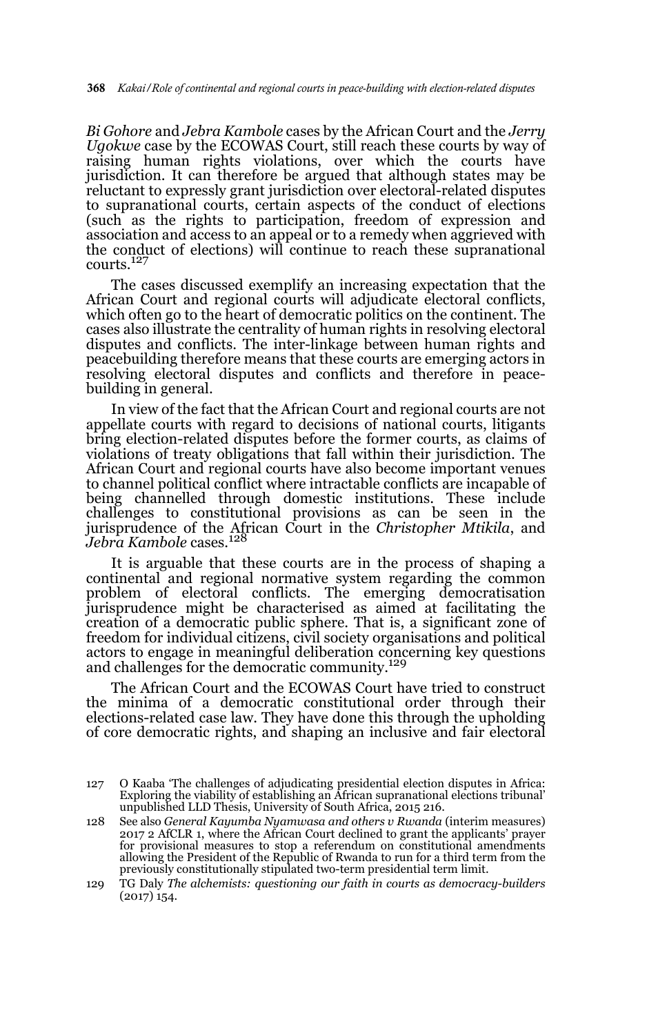*Bi Gohore* and *Jebra Kambole* cases by the African Court and the *Jerry Ugokwe* case by the ECOWAS Court, still reach these courts by way of raising human rights violations, over which the courts have jurisdiction. It can therefore be argued that although states may be reluctant to expressly grant jurisdiction over electoral-related disputes to supranational courts, certain aspects of the conduct of elections (such as the rights to participation, freedom of expression and association and access to an appeal or to a remedy when aggrieved with the conduct of elections) will continue to reach these supranational courts.<sup>127</sup>

The cases discussed exemplify an increasing expectation that the African Court and regional courts will adjudicate electoral conflicts, which often go to the heart of democratic politics on the continent. The cases also illustrate the centrality of human rights in resolving electoral disputes and conflicts. The inter-linkage between human rights and peacebuilding therefore means that these courts are emerging actors in resolving electoral disputes and conflicts and therefore in peacebuilding in general.

In view of the fact that the African Court and regional courts are not appellate courts with regard to decisions of national courts, litigants bring election-related disputes before the former courts, as claims of violations of treaty obligations that fall within their jurisdiction. The African Court and regional courts have also become important venues to channel political conflict where intractable conflicts are incapable of being channelled through domestic institutions. These include challenges to constitutional provisions as can be seen in the jurisprudence of the African Court in the *Christopher Mtikila*, and<br>J*ebra Kambole* cases.<sup>128</sup>

It is arguable that these courts are in the process of shaping a continental and regional normative system regarding the common problem of electoral conflicts. The emerging democratisation jurisprudence might be characterised as aimed at facilitating the creation of a democratic public sphere. That is, a significant zone of freedom for individual citizens, civil society organisations and political actors to engage in meaningful deliberation concerning key questions and challenges for the democratic community.<sup>129</sup>

The African Court and the ECOWAS Court have tried to construct the minima of a democratic constitutional order through their elections-related case law. They have done this through the upholding of core democratic rights, and shaping an inclusive and fair electoral

<sup>127</sup> O Kaaba 'The challenges of adjudicating presidential election disputes in Africa: Exploring the viability of establishing an African supranational elections tribunal' unpublished LLD Thesis, University of South Africa, 2015 216.

<sup>128</sup> See also *General Kayumba Nyamwasa and others v Rwanda* (interim measures) 2017 2 AfCLR 1, where the African Court declined to grant the applicants' prayer for provisional measures to stop a referendum on constitutional amendments allowing the President of the Republic of Rwanda to run for a third term from the previously constitutionally stipulated two-term presidential term limit.

<sup>129</sup> TG Daly *The alchemists: questioning our faith in courts as democracy-builders* (2017) 154.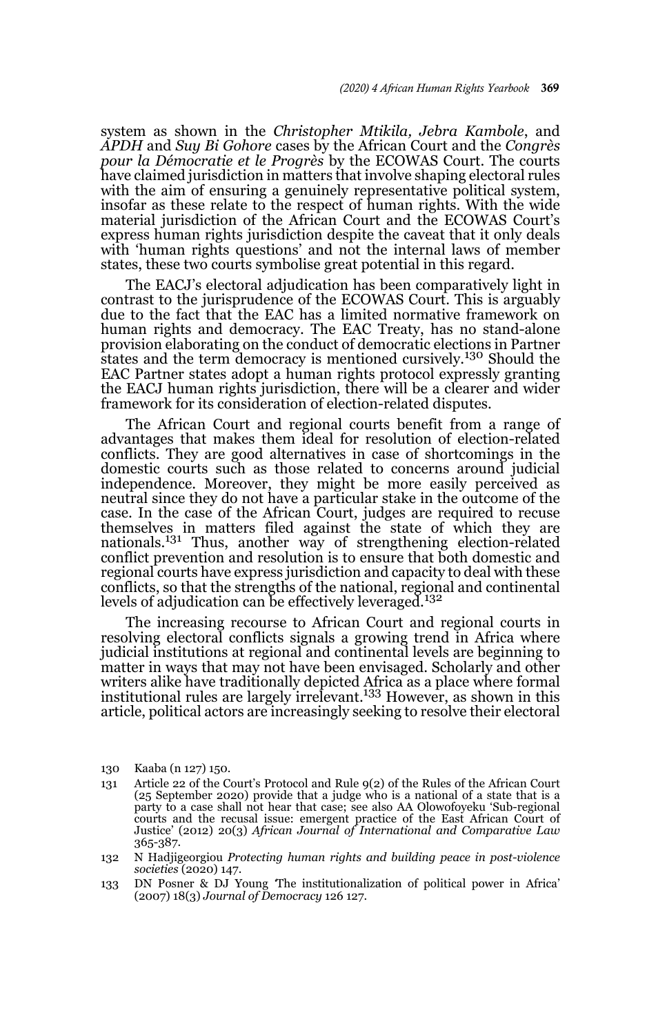system as shown in the *Christopher Mtikila, Jebra Kambole*, and *APDH* and *Suy Bi Gohore* cases by the African Court and the *Congrès pour la Démocratie et le Progrès* by the ECOWAS Court. The courts have claimed jurisdiction in matters that involve shaping electoral rules with the aim of ensuring a genuinely representative political system, insofar as these relate to the respect of human rights. With the wide material jurisdiction of the African Court and the ECOWAS Court's express human rights jurisdiction despite the caveat that it only deals with 'human rights questions' and not the internal laws of member states, these two courts symbolise great potential in this regard.

The EACJ's electoral adjudication has been comparatively light in contrast to the jurisprudence of the ECOWAS Court. This is arguably due to the fact that the EAC has a limited normative framework on human rights and democracy. The EAC Treaty, has no stand-alone provision elaborating on the conduct of democratic elections in Partner states and the term democracy is mentioned cursively.<sup>130</sup> Should the EAC Partner states adopt a human rights protocol expressly granting the EACJ human rights jurisdiction, there will be a clearer and wider framework for its consideration of election-related disputes.

The African Court and regional courts benefit from a range of advantages that makes them ideal for resolution of election-related conflicts. They are good alternatives in case of shortcomings in the domestic courts such as those related to concerns around judicial independence. Moreover, they might be more easily perceived as neutral since they do not have a particular stake in the outcome of the case. In the case of the African Court, judges are required to recuse themselves in matters filed against the state of which they are nationals.131 Thus, another way of strengthening election-related conflict prevention and resolution is to ensure that both domestic and regional courts have express jurisdiction and capacity to deal with these conflicts, so that the strengths of the national, regional and continental levels of adjudication can be effectively leveraged.<sup>132</sup>

The increasing recourse to African Court and regional courts in resolving electoral conflicts signals a growing trend in Africa where judicial institutions at regional and continental levels are beginning to matter in ways that may not have been envisaged. Scholarly and other writers alike have traditionally depicted Africa as a place where formal institutional rules are largely irrelevant.<sup>133</sup> However, as shown in this article, political actors are increasingly seeking to resolve their electoral

<sup>130</sup> Kaaba (n 127) 150.

<sup>131</sup> Article 22 of the Court's Protocol and Rule 9(2) of the Rules of the African Court (25 September 2020) provide that a judge who is a national of a state that is a party to a case shall not hear that case; see also AA Olowofoyeku 'Sub-regional courts and the recusal issue: emergent practice of the East African Court of Justice' (2012) 20(3) *African Journal of International and Comparative Law* 365-387.

<sup>132</sup> N Hadjigeorgiou *Protecting human rights and building peace in post-violence societies* (2020) 147.

<sup>133</sup> DN Posner & DJ Young *'*The institutionalization of political power in Africa' (2007) 18(3) *Journal of Democracy* 126 127.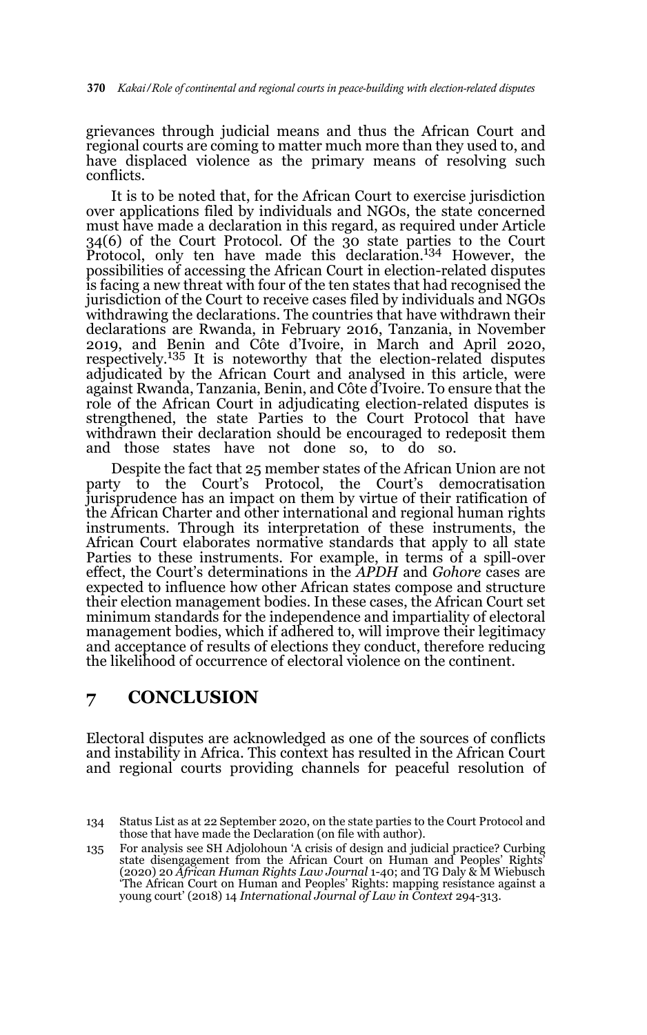grievances through judicial means and thus the African Court and regional courts are coming to matter much more than they used to, and have displaced violence as the primary means of resolving such conflicts.

It is to be noted that, for the African Court to exercise jurisdiction over applications filed by individuals and NGOs, the state concerned must have made a declaration in this regard, as required under Article 34(6) of the Court Protocol. Of the 30 state parties to the Court Protocol, only ten have made this declaration.134 However, the possibilities of accessing the African Court in election-related disputes is facing a new threat with four of the ten states that had recognised the jurisdiction of the Court to receive cases filed by individuals and NGOs withdrawing the declarations. The countries that have withdrawn their declarations are Rwanda, in February 2016, Tanzania, in November 2019, and Benin and Côte d'Ivoire, in March and April 2020, respectively.135 It is noteworthy that the election-related disputes adjudicated by the African Court and analysed in this article, were against Rwanda, Tanzania, Benin, and Côte d'Ivoire. To ensure that the role of the African Court in adjudicating election-related disputes is strengthened, the state Parties to the Court Protocol that have withdrawn their declaration should be encouraged to redeposit them and those states have not done so, to do so.

Despite the fact that 25 member states of the African Union are not party to the Court's Protocol, the Court's democratisation jurisprudence has an impact on them by virtue of their ratification of the African Charter and other international and regional human rights instruments. Through its interpretation of these instruments, the African Court elaborates normative standards that apply to all state Parties to these instruments. For example, in terms of a spill-over effect, the Court's determinations in the *APDH* and *Gohore* cases are expected to influence how other African states compose and structure their election management bodies. In these cases, the African Court set minimum standards for the independence and impartiality of electoral management bodies, which if adhered to, will improve their legitimacy and acceptance of results of elections they conduct, therefore reducing the likelihood of occurrence of electoral violence on the continent.

## **7 CONCLUSION**

Electoral disputes are acknowledged as one of the sources of conflicts and instability in Africa. This context has resulted in the African Court and regional courts providing channels for peaceful resolution of

<sup>134</sup> Status List as at 22 September 2020, on the state parties to the Court Protocol and those that have made the Declaration (on file with author).

<sup>135</sup> For analysis see SH Adjolohoun 'A crisis of design and judicial practice? Curbing state disengagement from the African Court on Human and Peoples' Rights' (2020) 20 *African Human Rights Law Journal* 1-40; and TG Daly & M Wiebusch 'The African Court on Human and Peoples' Rights: mapping resistance against a young court' (2018) 14 *International Journal of Law in Context* 294-313.